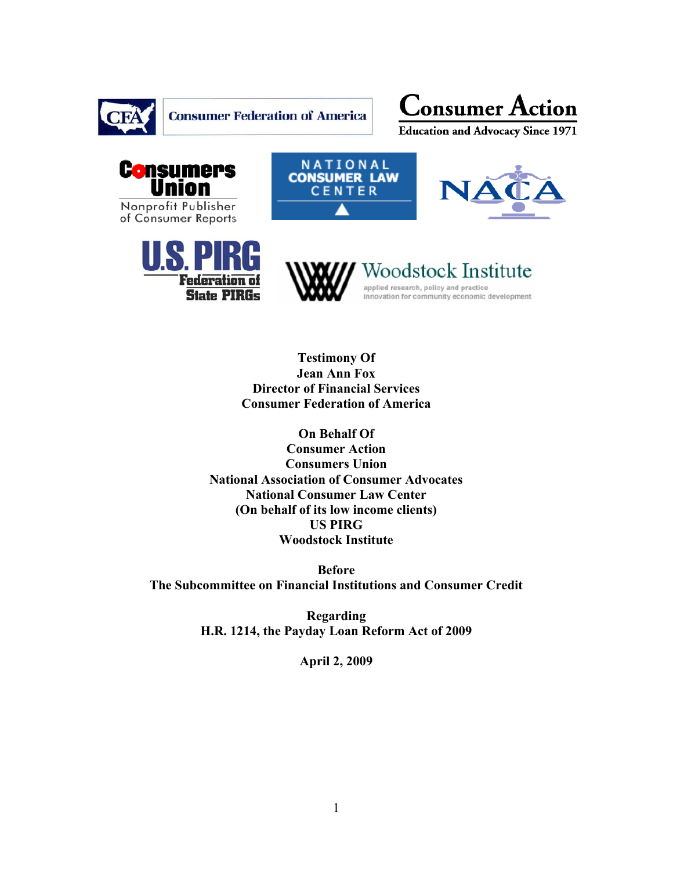

Union

**Federation of** 

**State PIRGs** 

**Consumer Federation of America** 



**Education and Advocacy Since 1971** 





**Testimony Of Jean Ann Fox Director of Financial Services Consumer Federation of America** 

**On Behalf Of Consumer Action Consumers Union National Association of Consumer Advocates National Consumer Law Center (On behalf of its low income clients) US PIRG Woodstock Institute** 

**Before The Subcommittee on Financial Institutions and Consumer Credit** 

> **Regarding H.R. 1214, the Payday Loan Reform Act of 2009**

> > **April 2, 2009**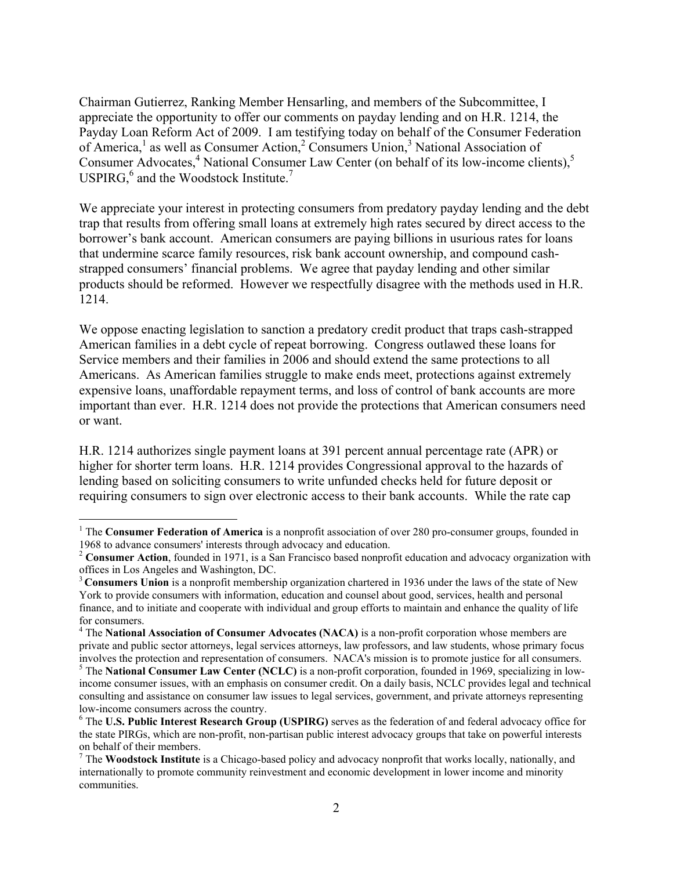Chairman Gutierrez, Ranking Member Hensarling, and members of the Subcommittee, I appreciate the opportunity to offer our comments on payday lending and on H.R. 1214, the Payday Loan Reform Act of 2009. I am testifying today on behalf of the Consumer Federation of America,<sup>1</sup> as well as Consumer Action,<sup>2</sup> Consumers Union,<sup>3</sup> National Association of Consumer Advocates,<sup>4</sup> National Consumer Law Center (on behalf of its low-income clients),<sup>5</sup> USPIRG, $6$  and the Woodstock Institute.<sup>7</sup>

We appreciate your interest in protecting consumers from predatory payday lending and the debt trap that results from offering small loans at extremely high rates secured by direct access to the borrower's bank account. American consumers are paying billions in usurious rates for loans that undermine scarce family resources, risk bank account ownership, and compound cashstrapped consumers' financial problems. We agree that payday lending and other similar products should be reformed. However we respectfully disagree with the methods used in H.R. 1214.

We oppose enacting legislation to sanction a predatory credit product that traps cash-strapped American families in a debt cycle of repeat borrowing. Congress outlawed these loans for Service members and their families in 2006 and should extend the same protections to all Americans. As American families struggle to make ends meet, protections against extremely expensive loans, unaffordable repayment terms, and loss of control of bank accounts are more important than ever. H.R. 1214 does not provide the protections that American consumers need or want.

H.R. 1214 authorizes single payment loans at 391 percent annual percentage rate (APR) or higher for shorter term loans. H.R. 1214 provides Congressional approval to the hazards of lending based on soliciting consumers to write unfunded checks held for future deposit or requiring consumers to sign over electronic access to their bank accounts. While the rate cap

<sup>&</sup>lt;sup>1</sup> The **Consumer Federation of America** is a nonprofit association of over 280 pro-consumer groups, founded in 1968 to advance consumers' interests through advocacy and education. 2 **Consumer Action**, founded in 1971, is a San Francisco based nonprofit education and advocacy organization with

offices in Los Angeles and Washington, DC.

<sup>3</sup>**Consumers Union** is a nonprofit membership organization chartered in 1936 under the laws of the state of New York to provide consumers with information, education and counsel about good, services, health and personal finance, and to initiate and cooperate with individual and group efforts to maintain and enhance the quality of life for consumers.

<sup>&</sup>lt;sup>4</sup> The **National Association of Consumer Advocates (NACA)** is a non-profit corporation whose members are private and public sector attorneys, legal services attorneys, law professors, and law students, whose primary focus involves the protection and representation of consumers. NACA's mission is to promote justice for all consumers.

<sup>&</sup>lt;sup>5</sup> The **National Consumer Law Center (NCLC)** is a non-profit corporation, founded in 1969, specializing in lowincome consumer issues, with an emphasis on consumer credit. On a daily basis, NCLC provides legal and technical consulting and assistance on consumer law issues to legal services, government, and private attorneys representing low-income consumers across the country.

<sup>&</sup>lt;sup>6</sup> The **U.S. Public Interest Research Group (USPIRG)** serves as the federation of and federal advocacy office for the state PIRGs, which are non-profit, non-partisan public interest advocacy groups that take on powerful interests on behalf of their members.

<sup>7</sup> The **Woodstock Institute** is a Chicago-based policy and advocacy nonprofit that works locally, nationally, and internationally to promote community reinvestment and economic development in lower income and minority communities.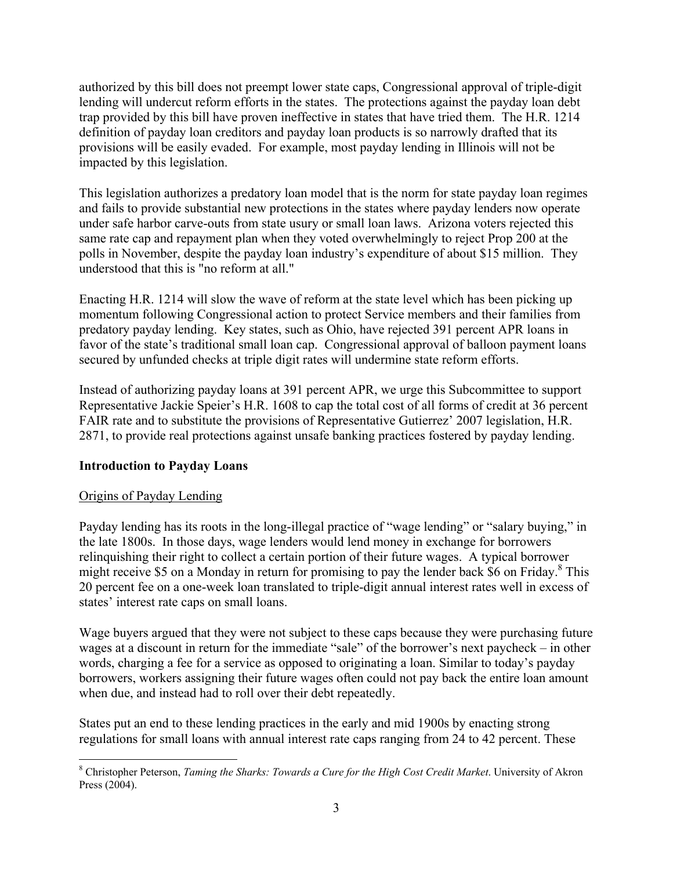authorized by this bill does not preempt lower state caps, Congressional approval of triple-digit lending will undercut reform efforts in the states. The protections against the payday loan debt trap provided by this bill have proven ineffective in states that have tried them. The H.R. 1214 definition of payday loan creditors and payday loan products is so narrowly drafted that its provisions will be easily evaded. For example, most payday lending in Illinois will not be impacted by this legislation.

This legislation authorizes a predatory loan model that is the norm for state payday loan regimes and fails to provide substantial new protections in the states where payday lenders now operate under safe harbor carve-outs from state usury or small loan laws. Arizona voters rejected this same rate cap and repayment plan when they voted overwhelmingly to reject Prop 200 at the polls in November, despite the payday loan industry's expenditure of about \$15 million. They understood that this is "no reform at all."

Enacting H.R. 1214 will slow the wave of reform at the state level which has been picking up momentum following Congressional action to protect Service members and their families from predatory payday lending. Key states, such as Ohio, have rejected 391 percent APR loans in favor of the state's traditional small loan cap. Congressional approval of balloon payment loans secured by unfunded checks at triple digit rates will undermine state reform efforts.

Instead of authorizing payday loans at 391 percent APR, we urge this Subcommittee to support Representative Jackie Speier's H.R. 1608 to cap the total cost of all forms of credit at 36 percent FAIR rate and to substitute the provisions of Representative Gutierrez' 2007 legislation, H.R. 2871, to provide real protections against unsafe banking practices fostered by payday lending.

# **Introduction to Payday Loans**

# Origins of Payday Lending

Payday lending has its roots in the long-illegal practice of "wage lending" or "salary buying," in the late 1800s. In those days, wage lenders would lend money in exchange for borrowers relinquishing their right to collect a certain portion of their future wages. A typical borrower might receive \$5 on a Monday in return for promising to pay the lender back \$6 on Friday.<sup>8</sup> This 20 percent fee on a one-week loan translated to triple-digit annual interest rates well in excess of states' interest rate caps on small loans.

Wage buyers argued that they were not subject to these caps because they were purchasing future wages at a discount in return for the immediate "sale" of the borrower's next paycheck – in other words, charging a fee for a service as opposed to originating a loan. Similar to today's payday borrowers, workers assigning their future wages often could not pay back the entire loan amount when due, and instead had to roll over their debt repeatedly.

States put an end to these lending practices in the early and mid 1900s by enacting strong regulations for small loans with annual interest rate caps ranging from 24 to 42 percent. These

 8 Christopher Peterson, *Taming the Sharks: Towards a Cure for the High Cost Credit Market*. University of Akron Press (2004).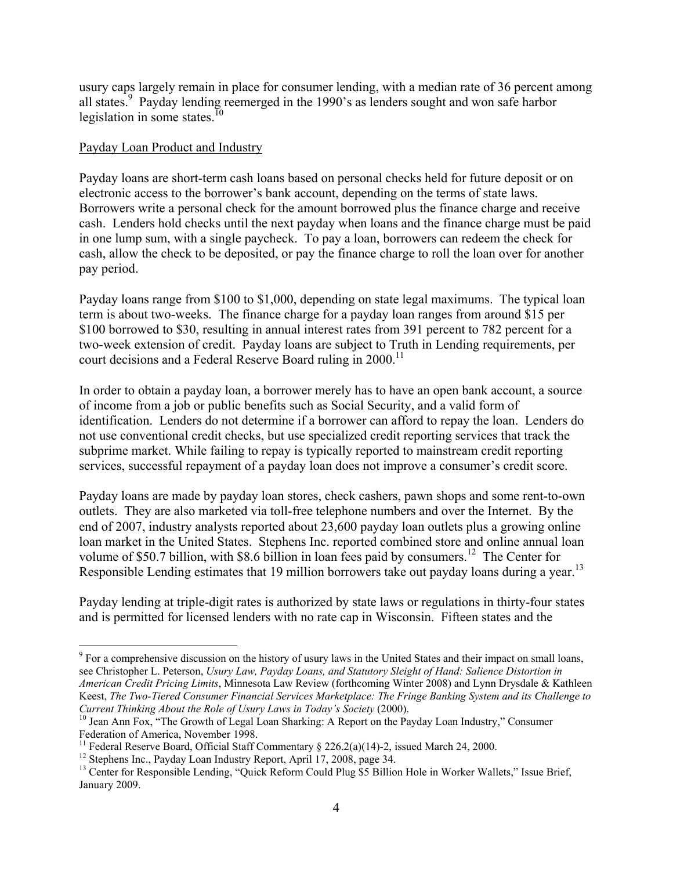usury caps largely remain in place for consumer lending, with a median rate of 36 percent among all states.<sup>9</sup> Payday lending reemerged in the 1990's as lenders sought and won safe harbor legislation in some states. $^{10}$ 

#### Payday Loan Product and Industry

Payday loans are short-term cash loans based on personal checks held for future deposit or on electronic access to the borrower's bank account, depending on the terms of state laws. Borrowers write a personal check for the amount borrowed plus the finance charge and receive cash. Lenders hold checks until the next payday when loans and the finance charge must be paid in one lump sum, with a single paycheck. To pay a loan, borrowers can redeem the check for cash, allow the check to be deposited, or pay the finance charge to roll the loan over for another pay period.

Payday loans range from \$100 to \$1,000, depending on state legal maximums. The typical loan term is about two-weeks. The finance charge for a payday loan ranges from around \$15 per \$100 borrowed to \$30, resulting in annual interest rates from 391 percent to 782 percent for a two-week extension of credit. Payday loans are subject to Truth in Lending requirements, per court decisions and a Federal Reserve Board ruling in 2000.<sup>11</sup>

In order to obtain a payday loan, a borrower merely has to have an open bank account, a source of income from a job or public benefits such as Social Security, and a valid form of identification. Lenders do not determine if a borrower can afford to repay the loan. Lenders do not use conventional credit checks, but use specialized credit reporting services that track the subprime market. While failing to repay is typically reported to mainstream credit reporting services, successful repayment of a payday loan does not improve a consumer's credit score.

Payday loans are made by payday loan stores, check cashers, pawn shops and some rent-to-own outlets. They are also marketed via toll-free telephone numbers and over the Internet. By the end of 2007, industry analysts reported about 23,600 payday loan outlets plus a growing online loan market in the United States. Stephens Inc. reported combined store and online annual loan volume of \$50.7 billion, with \$8.6 billion in loan fees paid by consumers.<sup>12</sup> The Center for Responsible Lending estimates that 19 million borrowers take out payday loans during a year.<sup>13</sup>

Payday lending at triple-digit rates is authorized by state laws or regulations in thirty-four states and is permitted for licensed lenders with no rate cap in Wisconsin. Fifteen states and the

 $9^9$  For a comprehensive discussion on the history of usury laws in the United States and their impact on small loans, see Christopher L. Peterson, *Usury Law, Payday Loans, and Statutory Sleight of Hand: Salience Distortion in American Credit Pricing Limits*, Minnesota Law Review (forthcoming Winter 2008) and Lynn Drysdale & Kathleen Keest, *The Two-Tiered Consumer Financial Services Marketplace: The Fringe Banking System and its Challenge to* 

<sup>&</sup>lt;sup>10</sup> Jean Ann Fox, "The Growth of Legal Loan Sharking: A Report on the Payday Loan Industry," Consumer Federation of America, November 1998.

<sup>&</sup>lt;sup>11</sup> Federal Reserve Board, Official Staff Commentary § 226.2(a)(14)-2, issued March 24, 2000.<br><sup>12</sup> Stephens Inc., Payday Loan Industry Report, April 17, 2008, page 34.

<sup>&</sup>lt;sup>13</sup> Center for Responsible Lending, "Quick Reform Could Plug \$5 Billion Hole in Worker Wallets," Issue Brief, January 2009.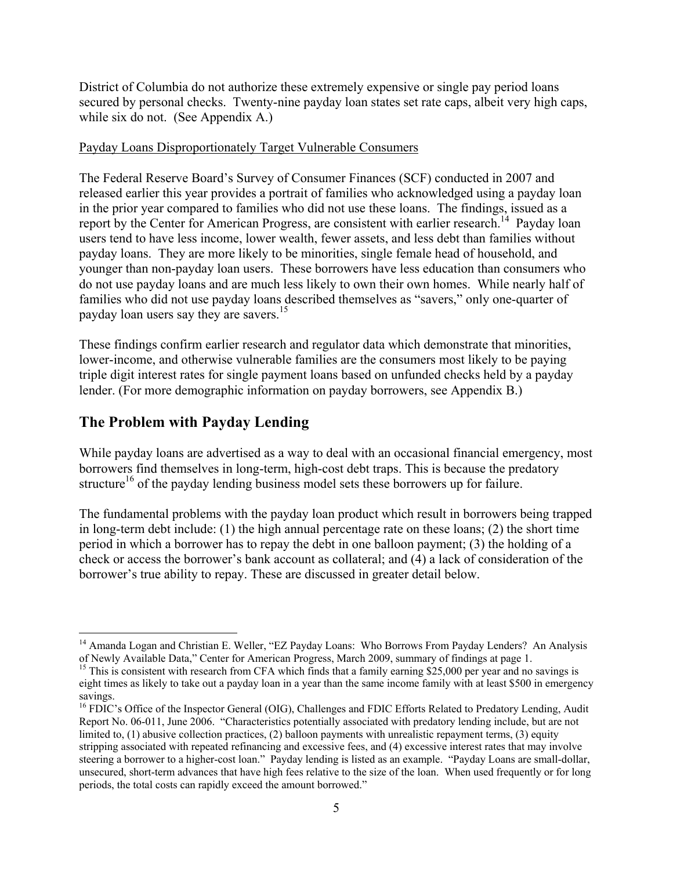District of Columbia do not authorize these extremely expensive or single pay period loans secured by personal checks. Twenty-nine payday loan states set rate caps, albeit very high caps, while six do not. (See Appendix A.)

#### Payday Loans Disproportionately Target Vulnerable Consumers

The Federal Reserve Board's Survey of Consumer Finances (SCF) conducted in 2007 and released earlier this year provides a portrait of families who acknowledged using a payday loan in the prior year compared to families who did not use these loans. The findings, issued as a report by the Center for American Progress, are consistent with earlier research.<sup>14</sup> Payday loan users tend to have less income, lower wealth, fewer assets, and less debt than families without payday loans. They are more likely to be minorities, single female head of household, and younger than non-payday loan users. These borrowers have less education than consumers who do not use payday loans and are much less likely to own their own homes. While nearly half of families who did not use payday loans described themselves as "savers," only one-quarter of payday loan users say they are savers.15

These findings confirm earlier research and regulator data which demonstrate that minorities, lower-income, and otherwise vulnerable families are the consumers most likely to be paying triple digit interest rates for single payment loans based on unfunded checks held by a payday lender. (For more demographic information on payday borrowers, see Appendix B.)

# **The Problem with Payday Lending**

 $\overline{a}$ 

While payday loans are advertised as a way to deal with an occasional financial emergency, most borrowers find themselves in long-term, high-cost debt traps. This is because the predatory structure<sup>16</sup> of the payday lending business model sets these borrowers up for failure.

The fundamental problems with the payday loan product which result in borrowers being trapped in long-term debt include: (1) the high annual percentage rate on these loans; (2) the short time period in which a borrower has to repay the debt in one balloon payment; (3) the holding of a check or access the borrower's bank account as collateral; and (4) a lack of consideration of the borrower's true ability to repay. These are discussed in greater detail below.

<sup>&</sup>lt;sup>14</sup> Amanda Logan and Christian E. Weller, "EZ Payday Loans: Who Borrows From Payday Lenders? An Analysis of Newly Available Data," Center for American Progress, March 2009, summary of findings at page 1.

<sup>&</sup>lt;sup>15</sup> This is consistent with research from CFA which finds that a family earning \$25,000 per year and no savings is eight times as likely to take out a payday loan in a year than the same income family with at least \$500 in emergency savings.

<sup>&</sup>lt;sup>16</sup> FDIC's Office of the Inspector General (OIG), Challenges and FDIC Efforts Related to Predatory Lending, Audit Report No. 06-011, June 2006. "Characteristics potentially associated with predatory lending include, but are not limited to, (1) abusive collection practices, (2) balloon payments with unrealistic repayment terms, (3) equity stripping associated with repeated refinancing and excessive fees, and (4) excessive interest rates that may involve steering a borrower to a higher-cost loan." Payday lending is listed as an example. "Payday Loans are small-dollar, unsecured, short-term advances that have high fees relative to the size of the loan. When used frequently or for long periods, the total costs can rapidly exceed the amount borrowed."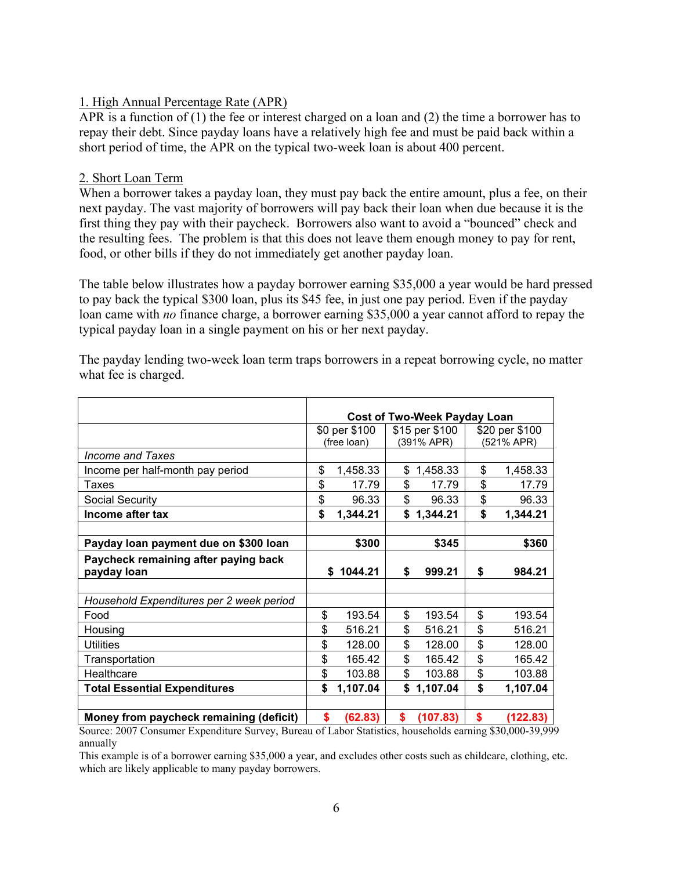#### 1. High Annual Percentage Rate (APR)

APR is a function of (1) the fee or interest charged on a loan and (2) the time a borrower has to repay their debt. Since payday loans have a relatively high fee and must be paid back within a short period of time, the APR on the typical two-week loan is about 400 percent.

#### 2. Short Loan Term

When a borrower takes a payday loan, they must pay back the entire amount, plus a fee, on their next payday. The vast majority of borrowers will pay back their loan when due because it is the first thing they pay with their paycheck. Borrowers also want to avoid a "bounced" check and the resulting fees. The problem is that this does not leave them enough money to pay for rent, food, or other bills if they do not immediately get another payday loan.

The table below illustrates how a payday borrower earning \$35,000 a year would be hard pressed to pay back the typical \$300 loan, plus its \$45 fee, in just one pay period. Even if the payday loan came with *no* finance charge, a borrower earning \$35,000 a year cannot afford to repay the typical payday loan in a single payment on his or her next payday.

The payday lending two-week loan term traps borrowers in a repeat borrowing cycle, no matter what fee is charged.

|                                                                                                                                                     | <b>Cost of Two-Week Payday Loan</b> |               |    |                |    |                |
|-----------------------------------------------------------------------------------------------------------------------------------------------------|-------------------------------------|---------------|----|----------------|----|----------------|
|                                                                                                                                                     |                                     | \$0 per \$100 |    | \$15 per \$100 |    | \$20 per \$100 |
|                                                                                                                                                     |                                     | (free loan)   |    | (391% APR)     |    | (521% APR)     |
| Income and Taxes                                                                                                                                    |                                     |               |    |                |    |                |
| Income per half-month pay period                                                                                                                    | \$                                  | 1,458.33      | \$ | 1,458.33       | \$ | 1,458.33       |
| Taxes                                                                                                                                               | \$                                  | 17.79         | \$ | 17.79          | \$ | 17.79          |
| Social Security                                                                                                                                     | \$                                  | 96.33         | \$ | 96.33          | \$ | 96.33          |
| Income after tax                                                                                                                                    | \$                                  | 1,344.21      |    | \$1,344.21     | \$ | 1,344.21       |
|                                                                                                                                                     |                                     |               |    |                |    |                |
| Payday loan payment due on \$300 loan                                                                                                               |                                     | \$300         |    | \$345          |    | \$360          |
| Paycheck remaining after paying back                                                                                                                |                                     |               |    |                |    |                |
| payday loan                                                                                                                                         |                                     | 1044.21<br>\$ | \$ | 999.21         | \$ | 984.21         |
|                                                                                                                                                     |                                     |               |    |                |    |                |
| Household Expenditures per 2 week period                                                                                                            |                                     |               |    |                |    |                |
| Food                                                                                                                                                | \$                                  | 193.54        | \$ | 193.54         | \$ | 193.54         |
| Housing                                                                                                                                             | \$                                  | 516.21        | \$ | 516.21         | \$ | 516.21         |
| <b>Utilities</b>                                                                                                                                    | \$                                  | 128.00        | \$ | 128.00         | \$ | 128.00         |
| Transportation                                                                                                                                      | \$                                  | 165.42        | \$ | 165.42         | \$ | 165.42         |
| Healthcare                                                                                                                                          | \$                                  | 103.88        | \$ | 103.88         | \$ | 103.88         |
| <b>Total Essential Expenditures</b>                                                                                                                 | \$                                  | 1,107.04      |    | \$1,107.04     | \$ | 1,107.04       |
|                                                                                                                                                     |                                     |               |    |                |    |                |
| Money from paycheck remaining (deficit)<br>Seuros: 2007 Congumer Europeliture Survey, Durosu of Labor Statistics, households coming \$20,000,20,000 | \$                                  | (62.83)       | \$ | (107.83)       | \$ | (122.83)       |

Source: 2007 Consumer Expenditure Survey, Bureau of Labor Statistics, households earning \$30,000-39,999 annually

This example is of a borrower earning \$35,000 a year, and excludes other costs such as childcare, clothing, etc. which are likely applicable to many payday borrowers.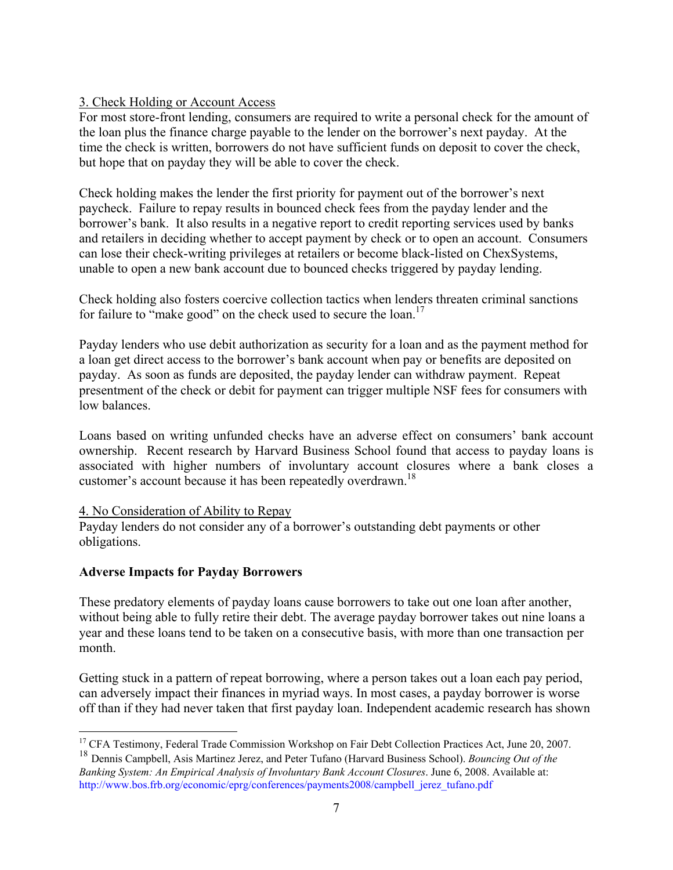# 3. Check Holding or Account Access

For most store-front lending, consumers are required to write a personal check for the amount of the loan plus the finance charge payable to the lender on the borrower's next payday. At the time the check is written, borrowers do not have sufficient funds on deposit to cover the check, but hope that on payday they will be able to cover the check.

Check holding makes the lender the first priority for payment out of the borrower's next paycheck. Failure to repay results in bounced check fees from the payday lender and the borrower's bank. It also results in a negative report to credit reporting services used by banks and retailers in deciding whether to accept payment by check or to open an account. Consumers can lose their check-writing privileges at retailers or become black-listed on ChexSystems, unable to open a new bank account due to bounced checks triggered by payday lending.

Check holding also fosters coercive collection tactics when lenders threaten criminal sanctions for failure to "make good" on the check used to secure the loan.<sup>17</sup>

Payday lenders who use debit authorization as security for a loan and as the payment method for a loan get direct access to the borrower's bank account when pay or benefits are deposited on payday. As soon as funds are deposited, the payday lender can withdraw payment. Repeat presentment of the check or debit for payment can trigger multiple NSF fees for consumers with low balances.

Loans based on writing unfunded checks have an adverse effect on consumers' bank account ownership. Recent research by Harvard Business School found that access to payday loans is associated with higher numbers of involuntary account closures where a bank closes a customer's account because it has been repeatedly overdrawn.<sup>18</sup>

#### 4. No Consideration of Ability to Repay

Payday lenders do not consider any of a borrower's outstanding debt payments or other obligations.

# **Adverse Impacts for Payday Borrowers**

 $\overline{a}$ 

These predatory elements of payday loans cause borrowers to take out one loan after another, without being able to fully retire their debt. The average payday borrower takes out nine loans a year and these loans tend to be taken on a consecutive basis, with more than one transaction per month.

Getting stuck in a pattern of repeat borrowing, where a person takes out a loan each pay period, can adversely impact their finances in myriad ways. In most cases, a payday borrower is worse off than if they had never taken that first payday loan. Independent academic research has shown

<sup>&</sup>lt;sup>17</sup> CFA Testimony, Federal Trade Commission Workshop on Fair Debt Collection Practices Act, June 20, 2007.

<sup>18</sup> Dennis Campbell, Asis Martinez Jerez, and Peter Tufano (Harvard Business School). *Bouncing Out of the Banking System: An Empirical Analysis of Involuntary Bank Account Closures*. June 6, 2008. Available at: http://www.bos.frb.org/economic/eprg/conferences/payments2008/campbell\_jerez\_tufano.pdf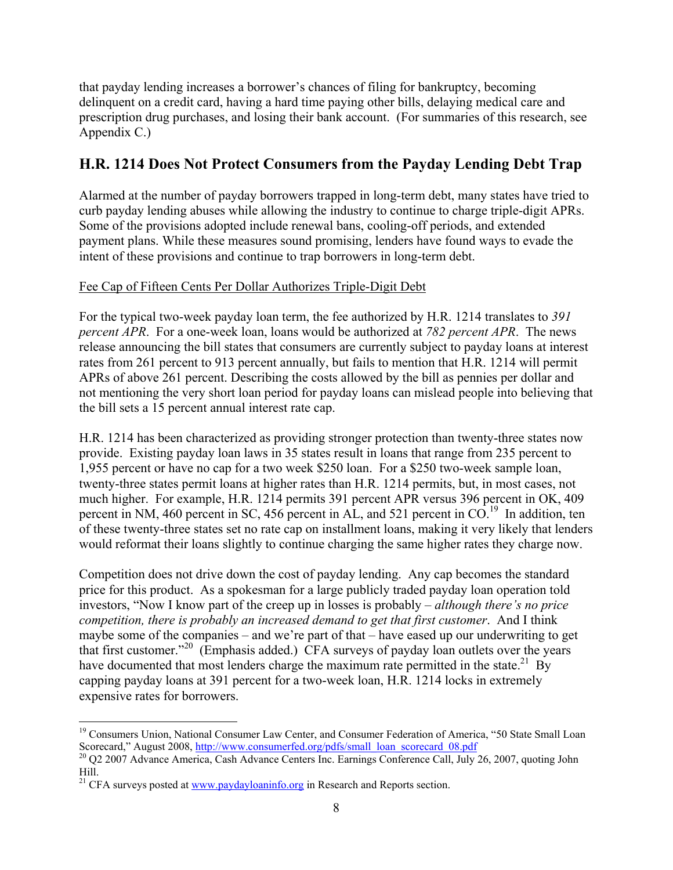that payday lending increases a borrower's chances of filing for bankruptcy, becoming delinquent on a credit card, having a hard time paying other bills, delaying medical care and prescription drug purchases, and losing their bank account. (For summaries of this research, see Appendix C.)

# **H.R. 1214 Does Not Protect Consumers from the Payday Lending Debt Trap**

Alarmed at the number of payday borrowers trapped in long-term debt, many states have tried to curb payday lending abuses while allowing the industry to continue to charge triple-digit APRs. Some of the provisions adopted include renewal bans, cooling-off periods, and extended payment plans. While these measures sound promising, lenders have found ways to evade the intent of these provisions and continue to trap borrowers in long-term debt.

# Fee Cap of Fifteen Cents Per Dollar Authorizes Triple-Digit Debt

For the typical two-week payday loan term, the fee authorized by H.R. 1214 translates to *391 percent APR*. For a one-week loan, loans would be authorized at *782 percent APR*. The news release announcing the bill states that consumers are currently subject to payday loans at interest rates from 261 percent to 913 percent annually, but fails to mention that H.R. 1214 will permit APRs of above 261 percent. Describing the costs allowed by the bill as pennies per dollar and not mentioning the very short loan period for payday loans can mislead people into believing that the bill sets a 15 percent annual interest rate cap.

H.R. 1214 has been characterized as providing stronger protection than twenty-three states now provide. Existing payday loan laws in 35 states result in loans that range from 235 percent to 1,955 percent or have no cap for a two week \$250 loan. For a \$250 two-week sample loan, twenty-three states permit loans at higher rates than H.R. 1214 permits, but, in most cases, not much higher. For example, H.R. 1214 permits 391 percent APR versus 396 percent in OK, 409 percent in NM, 460 percent in SC, 456 percent in AL, and 521 percent in  $CO<sup>19</sup>$  In addition, ten of these twenty-three states set no rate cap on installment loans, making it very likely that lenders would reformat their loans slightly to continue charging the same higher rates they charge now.

Competition does not drive down the cost of payday lending. Any cap becomes the standard price for this product. As a spokesman for a large publicly traded payday loan operation told investors, "Now I know part of the creep up in losses is probably – *although there's no price competition, there is probably an increased demand to get that first customer*. And I think maybe some of the companies – and we're part of that – have eased up our underwriting to get that first customer."20 (Emphasis added.) CFA surveys of payday loan outlets over the years have documented that most lenders charge the maximum rate permitted in the state.<sup>21</sup> By capping payday loans at 391 percent for a two-week loan, H.R. 1214 locks in extremely expensive rates for borrowers.

<sup>&</sup>lt;sup>19</sup> Consumers Union, National Consumer Law Center, and Consumer Federation of America, "50 State Small Loan Scorecard," August 2008, http://www.consumerfed.org/pdfs/small\_loan\_scorecard\_08.pdf <sup>20</sup> Q2 2007 Advance America, Cash Advance Centers Inc. Earnings Conference Call, July 26, 2007, quoting John

Hill.

<sup>&</sup>lt;sup>21</sup> CFA surveys posted at  $\frac{www.paydayloaninfo.org}{www.paydayloaninfo.org}$  in Research and Reports section.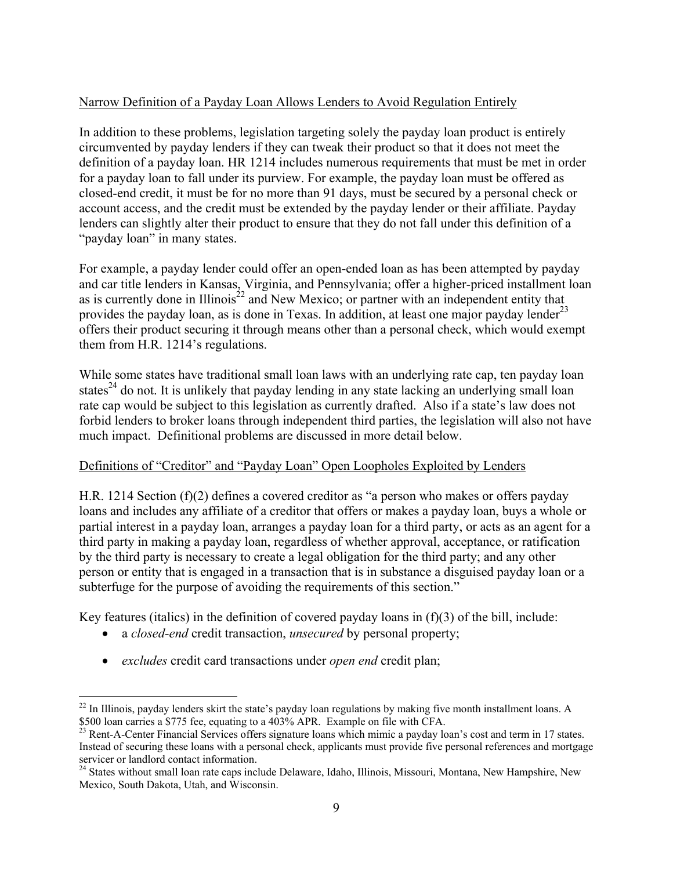# Narrow Definition of a Payday Loan Allows Lenders to Avoid Regulation Entirely

In addition to these problems, legislation targeting solely the payday loan product is entirely circumvented by payday lenders if they can tweak their product so that it does not meet the definition of a payday loan. HR 1214 includes numerous requirements that must be met in order for a payday loan to fall under its purview. For example, the payday loan must be offered as closed-end credit, it must be for no more than 91 days, must be secured by a personal check or account access, and the credit must be extended by the payday lender or their affiliate. Payday lenders can slightly alter their product to ensure that they do not fall under this definition of a "payday loan" in many states.

For example, a payday lender could offer an open-ended loan as has been attempted by payday and car title lenders in Kansas, Virginia, and Pennsylvania; offer a higher-priced installment loan as is currently done in Illinois<sup>22</sup> and New Mexico; or partner with an independent entity that provides the payday loan, as is done in Texas. In addition, at least one major payday lender<sup>23</sup> offers their product securing it through means other than a personal check, which would exempt them from H.R. 1214's regulations.

While some states have traditional small loan laws with an underlying rate cap, ten payday loan states<sup>24</sup> do not. It is unlikely that payday lending in any state lacking an underlying small loan rate cap would be subject to this legislation as currently drafted. Also if a state's law does not forbid lenders to broker loans through independent third parties, the legislation will also not have much impact. Definitional problems are discussed in more detail below.

# Definitions of "Creditor" and "Payday Loan" Open Loopholes Exploited by Lenders

H.R. 1214 Section (f)(2) defines a covered creditor as "a person who makes or offers payday loans and includes any affiliate of a creditor that offers or makes a payday loan, buys a whole or partial interest in a payday loan, arranges a payday loan for a third party, or acts as an agent for a third party in making a payday loan, regardless of whether approval, acceptance, or ratification by the third party is necessary to create a legal obligation for the third party; and any other person or entity that is engaged in a transaction that is in substance a disguised payday loan or a subterfuge for the purpose of avoiding the requirements of this section."

Key features (italics) in the definition of covered payday loans in  $(f)(3)$  of the bill, include:

- a *closed-end* credit transaction, *unsecured* by personal property;
- *excludes* credit card transactions under *open end* credit plan;

<u>.</u>

 $^{22}$  In Illinois, payday lenders skirt the state's payday loan regulations by making five month installment loans. A \$500 loan carries a \$775 fee, equating to a  $403\%$  APR. Example on file with CFA.

<sup>&</sup>lt;sup>23</sup> Rent-A-Center Financial Services offers signature loans which mimic a payday loan's cost and term in 17 states. Instead of securing these loans with a personal check, applicants must provide five personal references and mortgage servicer or landlord contact information.

<sup>&</sup>lt;sup>24</sup> States without small loan rate caps include Delaware, Idaho, Illinois, Missouri, Montana, New Hampshire, New Mexico, South Dakota, Utah, and Wisconsin.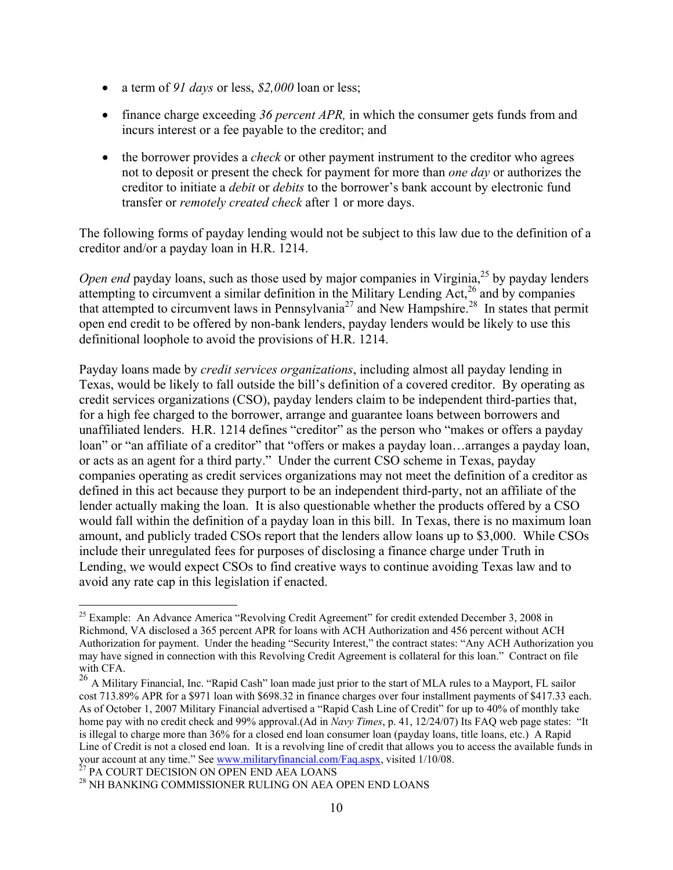- a term of *91 days* or less, *\$2,000* loan or less;
- finance charge exceeding 36 percent APR, in which the consumer gets funds from and incurs interest or a fee payable to the creditor; and
- the borrower provides a *check* or other payment instrument to the creditor who agrees not to deposit or present the check for payment for more than *one day* or authorizes the creditor to initiate a *debit* or *debits* to the borrower's bank account by electronic fund transfer or *remotely created check* after 1 or more days.

The following forms of payday lending would not be subject to this law due to the definition of a creditor and/or a payday loan in H.R. 1214.

*Open end* payday loans, such as those used by major companies in Virginia,<sup>25</sup> by payday lenders attempting to circumvent a similar definition in the Military Lending Act, $^{26}$  and by companies that attempted to circumvent laws in Pennsylvania<sup>27</sup> and New Hampshire.<sup>28</sup> In states that permit open end credit to be offered by non-bank lenders, payday lenders would be likely to use this definitional loophole to avoid the provisions of H.R. 1214.

Payday loans made by *credit services organizations*, including almost all payday lending in Texas, would be likely to fall outside the bill's definition of a covered creditor. By operating as credit services organizations (CSO), payday lenders claim to be independent third-parties that, for a high fee charged to the borrower, arrange and guarantee loans between borrowers and unaffiliated lenders. H.R. 1214 defines "creditor" as the person who "makes or offers a payday loan" or "an affiliate of a creditor" that "offers or makes a payday loan...arranges a payday loan, or acts as an agent for a third party." Under the current CSO scheme in Texas, payday companies operating as credit services organizations may not meet the definition of a creditor as defined in this act because they purport to be an independent third-party, not an affiliate of the lender actually making the loan. It is also questionable whether the products offered by a CSO would fall within the definition of a payday loan in this bill. In Texas, there is no maximum loan amount, and publicly traded CSOs report that the lenders allow loans up to \$3,000. While CSOs include their unregulated fees for purposes of disclosing a finance charge under Truth in Lending, we would expect CSOs to find creative ways to continue avoiding Texas law and to avoid any rate cap in this legislation if enacted.

<sup>&</sup>lt;sup>25</sup> Example: An Advance America "Revolving Credit Agreement" for credit extended December 3, 2008 in Richmond, VA disclosed a 365 percent APR for loans with ACH Authorization and 456 percent without ACH Authorization for payment. Under the heading "Security Interest," the contract states: "Any ACH Authorization you may have signed in connection with this Revolving Credit Agreement is collateral for this loan." Contract on file with CFA.

<sup>&</sup>lt;sup>26</sup> A Military Financial, Inc. "Rapid Cash" loan made just prior to the start of MLA rules to a Mayport, FL sailor cost 713.89% APR for a \$971 loan with \$698.32 in finance charges over four installment payments of \$417.33 each. As of October 1, 2007 Military Financial advertised a "Rapid Cash Line of Credit" for up to 40% of monthly take home pay with no credit check and 99% approval.(Ad in *Navy Times*, p. 41, 12/24/07) Its FAQ web page states: "It is illegal to charge more than 36% for a closed end loan consumer loan (payday loans, title loans, etc.) A Rapid Line of Credit is not a closed end loan. It is a revolving line of credit that allows you to access the available funds in your account at any time." See www.militaryfinancial.com/Faq.aspx, visited 1/10/08.<br><sup>27</sup> PA COURT DECISION ON OPEN END AEA LOANS

<sup>&</sup>lt;sup>28</sup> NH BANKING COMMISSIONER RULING ON AEA OPEN END LOANS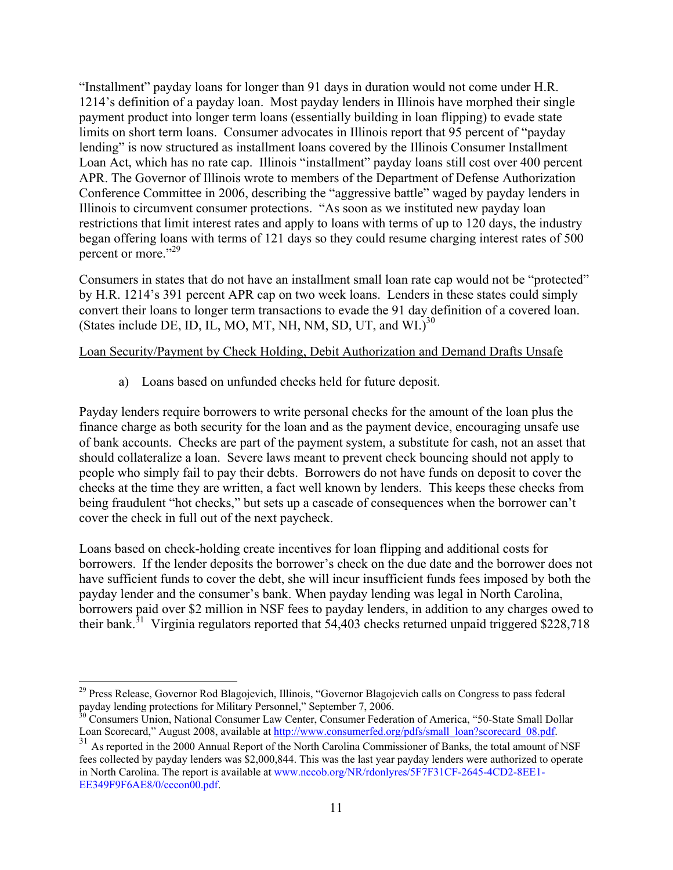"Installment" payday loans for longer than 91 days in duration would not come under H.R. 1214's definition of a payday loan. Most payday lenders in Illinois have morphed their single payment product into longer term loans (essentially building in loan flipping) to evade state limits on short term loans. Consumer advocates in Illinois report that 95 percent of "payday" lending" is now structured as installment loans covered by the Illinois Consumer Installment Loan Act, which has no rate cap. Illinois "installment" payday loans still cost over 400 percent APR. The Governor of Illinois wrote to members of the Department of Defense Authorization Conference Committee in 2006, describing the "aggressive battle" waged by payday lenders in Illinois to circumvent consumer protections. "As soon as we instituted new payday loan restrictions that limit interest rates and apply to loans with terms of up to 120 days, the industry began offering loans with terms of 121 days so they could resume charging interest rates of 500 percent or more."<sup>29</sup>

Consumers in states that do not have an installment small loan rate cap would not be "protected" by H.R. 1214's 391 percent APR cap on two week loans. Lenders in these states could simply convert their loans to longer term transactions to evade the 91 day definition of a covered loan. (States include DE, ID, IL, MO, MT, NH, NM, SD, UT, and WI.) $30$ 

#### Loan Security/Payment by Check Holding, Debit Authorization and Demand Drafts Unsafe

a) Loans based on unfunded checks held for future deposit.

Payday lenders require borrowers to write personal checks for the amount of the loan plus the finance charge as both security for the loan and as the payment device, encouraging unsafe use of bank accounts. Checks are part of the payment system, a substitute for cash, not an asset that should collateralize a loan. Severe laws meant to prevent check bouncing should not apply to people who simply fail to pay their debts. Borrowers do not have funds on deposit to cover the checks at the time they are written, a fact well known by lenders. This keeps these checks from being fraudulent "hot checks," but sets up a cascade of consequences when the borrower can't cover the check in full out of the next paycheck.

Loans based on check-holding create incentives for loan flipping and additional costs for borrowers. If the lender deposits the borrower's check on the due date and the borrower does not have sufficient funds to cover the debt, she will incur insufficient funds fees imposed by both the payday lender and the consumer's bank. When payday lending was legal in North Carolina, borrowers paid over \$2 million in NSF fees to payday lenders, in addition to any charges owed to their bank.<sup>31</sup> Virginia regulators reported that  $\overline{54,403}$  checks returned unpaid triggered \$228,718

 $\overline{a}$ <sup>29</sup> Press Release, Governor Rod Blagojevich, Illinois, "Governor Blagojevich calls on Congress to pass federal payday lending protections for Military Personnel," September 7, 2006.

<sup>&</sup>lt;sup>30</sup> Consumers Union, National Consumer Law Center, Consumer Federation of America, "50-State Small Dollar Loan Scorecard," August 2008, available at http://www.consumerfed.org/pdfs/small\_loan?scorecard\_08.pdf. 31 As reported in the 2000 Annual Report of the North Carolina Commissioner of Banks, the total amount of NSF

fees collected by payday lenders was \$2,000,844. This was the last year payday lenders were authorized to operate in North Carolina. The report is available at www.nccob.org/NR/rdonlyres/5F7F31CF-2645-4CD2-8EE1- EE349F9F6AE8/0/cccon00.pdf.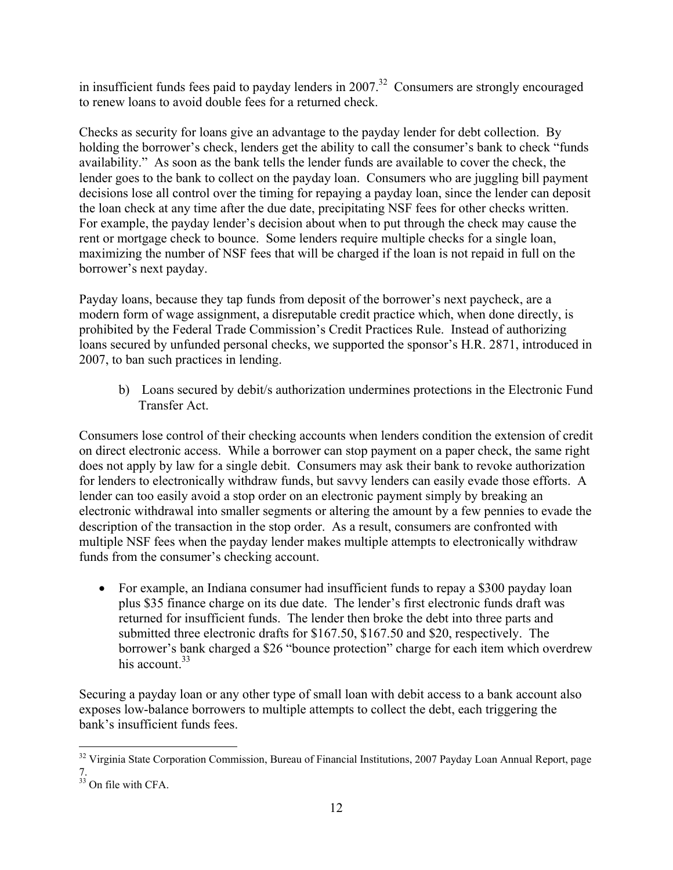in insufficient funds fees paid to payday lenders in  $2007<sup>32</sup>$  Consumers are strongly encouraged to renew loans to avoid double fees for a returned check.

Checks as security for loans give an advantage to the payday lender for debt collection. By holding the borrower's check, lenders get the ability to call the consumer's bank to check "funds availability." As soon as the bank tells the lender funds are available to cover the check, the lender goes to the bank to collect on the payday loan. Consumers who are juggling bill payment decisions lose all control over the timing for repaying a payday loan, since the lender can deposit the loan check at any time after the due date, precipitating NSF fees for other checks written. For example, the payday lender's decision about when to put through the check may cause the rent or mortgage check to bounce. Some lenders require multiple checks for a single loan, maximizing the number of NSF fees that will be charged if the loan is not repaid in full on the borrower's next payday.

Payday loans, because they tap funds from deposit of the borrower's next paycheck, are a modern form of wage assignment, a disreputable credit practice which, when done directly, is prohibited by the Federal Trade Commission's Credit Practices Rule. Instead of authorizing loans secured by unfunded personal checks, we supported the sponsor's H.R. 2871, introduced in 2007, to ban such practices in lending.

b) Loans secured by debit/s authorization undermines protections in the Electronic Fund Transfer Act.

Consumers lose control of their checking accounts when lenders condition the extension of credit on direct electronic access. While a borrower can stop payment on a paper check, the same right does not apply by law for a single debit. Consumers may ask their bank to revoke authorization for lenders to electronically withdraw funds, but savvy lenders can easily evade those efforts. A lender can too easily avoid a stop order on an electronic payment simply by breaking an electronic withdrawal into smaller segments or altering the amount by a few pennies to evade the description of the transaction in the stop order. As a result, consumers are confronted with multiple NSF fees when the payday lender makes multiple attempts to electronically withdraw funds from the consumer's checking account.

• For example, an Indiana consumer had insufficient funds to repay a \$300 payday loan plus \$35 finance charge on its due date. The lender's first electronic funds draft was returned for insufficient funds. The lender then broke the debt into three parts and submitted three electronic drafts for \$167.50, \$167.50 and \$20, respectively. The borrower's bank charged a \$26 "bounce protection" charge for each item which overdrew his account  $33$ 

Securing a payday loan or any other type of small loan with debit access to a bank account also exposes low-balance borrowers to multiple attempts to collect the debt, each triggering the bank's insufficient funds fees.

<sup>1</sup> <sup>32</sup> Virginia State Corporation Commission, Bureau of Financial Institutions, 2007 Payday Loan Annual Report, page 7.

<sup>&</sup>lt;sup>33</sup> On file with CFA.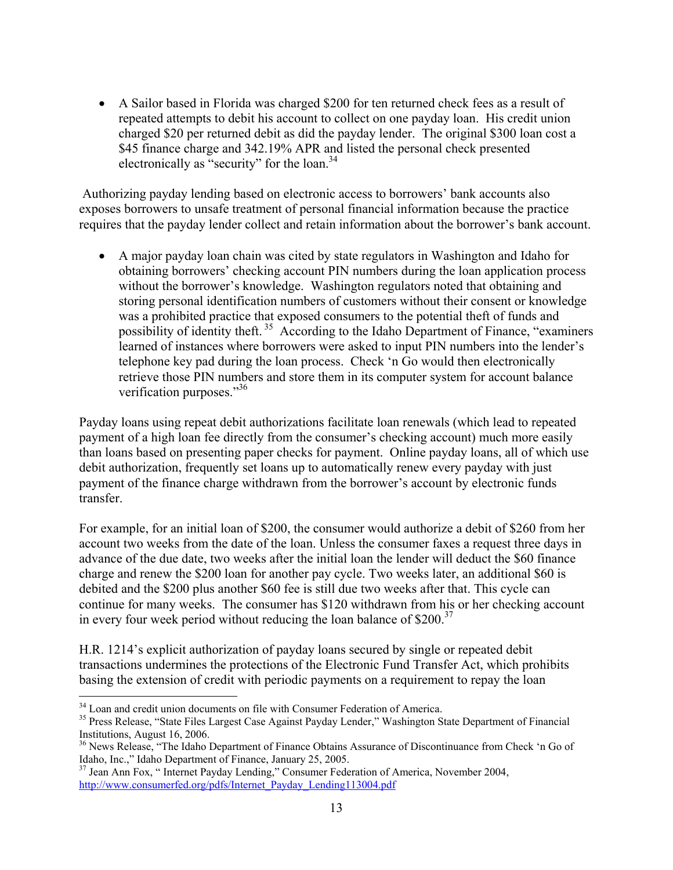• A Sailor based in Florida was charged \$200 for ten returned check fees as a result of repeated attempts to debit his account to collect on one payday loan. His credit union charged \$20 per returned debit as did the payday lender. The original \$300 loan cost a \$45 finance charge and 342.19% APR and listed the personal check presented electronically as "security" for the loan.<sup>34</sup>

 Authorizing payday lending based on electronic access to borrowers' bank accounts also exposes borrowers to unsafe treatment of personal financial information because the practice requires that the payday lender collect and retain information about the borrower's bank account.

• A major payday loan chain was cited by state regulators in Washington and Idaho for obtaining borrowers' checking account PIN numbers during the loan application process without the borrower's knowledge. Washington regulators noted that obtaining and storing personal identification numbers of customers without their consent or knowledge was a prohibited practice that exposed consumers to the potential theft of funds and possibility of identity theft. 35 According to the Idaho Department of Finance, "examiners learned of instances where borrowers were asked to input PIN numbers into the lender's telephone key pad during the loan process. Check 'n Go would then electronically retrieve those PIN numbers and store them in its computer system for account balance verification purposes."<sup>36</sup>

Payday loans using repeat debit authorizations facilitate loan renewals (which lead to repeated payment of a high loan fee directly from the consumer's checking account) much more easily than loans based on presenting paper checks for payment. Online payday loans, all of which use debit authorization, frequently set loans up to automatically renew every payday with just payment of the finance charge withdrawn from the borrower's account by electronic funds transfer.

For example, for an initial loan of \$200, the consumer would authorize a debit of \$260 from her account two weeks from the date of the loan. Unless the consumer faxes a request three days in advance of the due date, two weeks after the initial loan the lender will deduct the \$60 finance charge and renew the \$200 loan for another pay cycle. Two weeks later, an additional \$60 is debited and the \$200 plus another \$60 fee is still due two weeks after that. This cycle can continue for many weeks. The consumer has \$120 withdrawn from his or her checking account in every four week period without reducing the loan balance of  $\$200$ .<sup>37</sup>

H.R. 1214's explicit authorization of payday loans secured by single or repeated debit transactions undermines the protections of the Electronic Fund Transfer Act, which prohibits basing the extension of credit with periodic payments on a requirement to repay the loan

 $\overline{a}$ <sup>34</sup> Loan and credit union documents on file with Consumer Federation of America.

<sup>&</sup>lt;sup>35</sup> Press Release, "State Files Largest Case Against Payday Lender," Washington State Department of Financial Institutions, August 16, 2006.

<sup>&</sup>lt;sup>36</sup> News Release, "The Idaho Department of Finance Obtains Assurance of Discontinuance from Check 'n Go of Idaho, Inc.," Idaho Department of Finance, January 25, 2005.

<sup>&</sup>lt;sup>37</sup> Jean Ann Fox, "Internet Payday Lending," Consumer Federation of America, November 2004, http://www.consumerfed.org/pdfs/Internet\_Payday\_Lending113004.pdf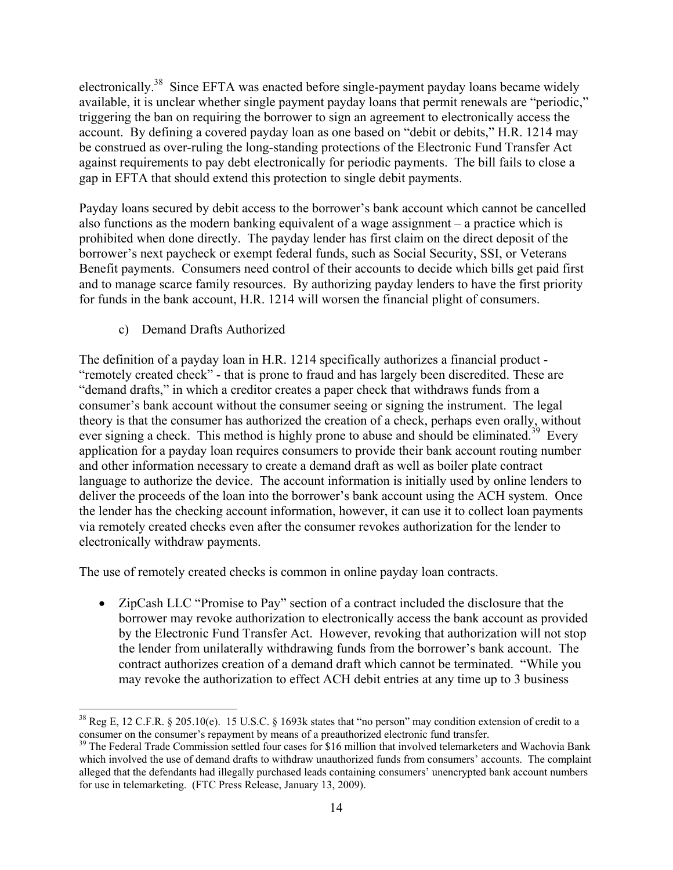electronically.38 Since EFTA was enacted before single-payment payday loans became widely available, it is unclear whether single payment payday loans that permit renewals are "periodic," triggering the ban on requiring the borrower to sign an agreement to electronically access the account. By defining a covered payday loan as one based on "debit or debits," H.R. 1214 may be construed as over-ruling the long-standing protections of the Electronic Fund Transfer Act against requirements to pay debt electronically for periodic payments. The bill fails to close a gap in EFTA that should extend this protection to single debit payments.

Payday loans secured by debit access to the borrower's bank account which cannot be cancelled also functions as the modern banking equivalent of a wage assignment – a practice which is prohibited when done directly. The payday lender has first claim on the direct deposit of the borrower's next paycheck or exempt federal funds, such as Social Security, SSI, or Veterans Benefit payments. Consumers need control of their accounts to decide which bills get paid first and to manage scarce family resources. By authorizing payday lenders to have the first priority for funds in the bank account, H.R. 1214 will worsen the financial plight of consumers.

c) Demand Drafts Authorized

The definition of a payday loan in H.R. 1214 specifically authorizes a financial product - "remotely created check" - that is prone to fraud and has largely been discredited. These are "demand drafts," in which a creditor creates a paper check that withdraws funds from a consumer's bank account without the consumer seeing or signing the instrument. The legal theory is that the consumer has authorized the creation of a check, perhaps even orally, without ever signing a check. This method is highly prone to abuse and should be eliminated.<sup>39</sup> Every application for a payday loan requires consumers to provide their bank account routing number and other information necessary to create a demand draft as well as boiler plate contract language to authorize the device. The account information is initially used by online lenders to deliver the proceeds of the loan into the borrower's bank account using the ACH system. Once the lender has the checking account information, however, it can use it to collect loan payments via remotely created checks even after the consumer revokes authorization for the lender to electronically withdraw payments.

The use of remotely created checks is common in online payday loan contracts.

• ZipCash LLC "Promise to Pay" section of a contract included the disclosure that the borrower may revoke authorization to electronically access the bank account as provided by the Electronic Fund Transfer Act. However, revoking that authorization will not stop the lender from unilaterally withdrawing funds from the borrower's bank account. The contract authorizes creation of a demand draft which cannot be terminated. "While you may revoke the authorization to effect ACH debit entries at any time up to 3 business

<sup>1</sup>  $38$  Reg E, 12 C.F.R. § 205.10(e). 15 U.S.C. § 1693k states that "no person" may condition extension of credit to a consumer on the consumer's repayment by means of a preauthorized electronic fund transfer.

<sup>&</sup>lt;sup>39</sup> The Federal Trade Commission settled four cases for \$16 million that involved telemarketers and Wachovia Bank which involved the use of demand drafts to withdraw unauthorized funds from consumers' accounts. The complaint alleged that the defendants had illegally purchased leads containing consumers' unencrypted bank account numbers for use in telemarketing. (FTC Press Release, January 13, 2009).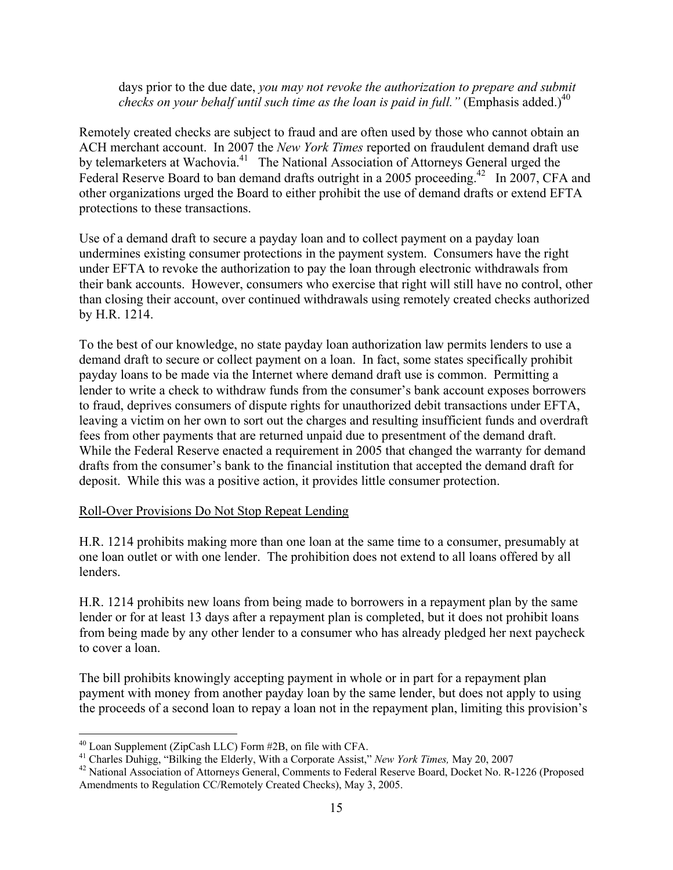#### days prior to the due date, *you may not revoke the authorization to prepare and submit checks on your behalf until such time as the loan is paid in full.* " (Emphasis added.)<sup>40</sup>

Remotely created checks are subject to fraud and are often used by those who cannot obtain an ACH merchant account. In 2007 the *New York Times* reported on fraudulent demand draft use by telemarketers at Wachovia.<sup>41</sup> The National Association of Attorneys General urged the Federal Reserve Board to ban demand drafts outright in a 2005 proceeding.<sup>42</sup> In 2007, CFA and other organizations urged the Board to either prohibit the use of demand drafts or extend EFTA protections to these transactions.

Use of a demand draft to secure a payday loan and to collect payment on a payday loan undermines existing consumer protections in the payment system. Consumers have the right under EFTA to revoke the authorization to pay the loan through electronic withdrawals from their bank accounts. However, consumers who exercise that right will still have no control, other than closing their account, over continued withdrawals using remotely created checks authorized by H.R. 1214.

To the best of our knowledge, no state payday loan authorization law permits lenders to use a demand draft to secure or collect payment on a loan. In fact, some states specifically prohibit payday loans to be made via the Internet where demand draft use is common. Permitting a lender to write a check to withdraw funds from the consumer's bank account exposes borrowers to fraud, deprives consumers of dispute rights for unauthorized debit transactions under EFTA, leaving a victim on her own to sort out the charges and resulting insufficient funds and overdraft fees from other payments that are returned unpaid due to presentment of the demand draft. While the Federal Reserve enacted a requirement in 2005 that changed the warranty for demand drafts from the consumer's bank to the financial institution that accepted the demand draft for deposit. While this was a positive action, it provides little consumer protection.

#### Roll-Over Provisions Do Not Stop Repeat Lending

H.R. 1214 prohibits making more than one loan at the same time to a consumer, presumably at one loan outlet or with one lender. The prohibition does not extend to all loans offered by all lenders.

H.R. 1214 prohibits new loans from being made to borrowers in a repayment plan by the same lender or for at least 13 days after a repayment plan is completed, but it does not prohibit loans from being made by any other lender to a consumer who has already pledged her next paycheck to cover a loan.

The bill prohibits knowingly accepting payment in whole or in part for a repayment plan payment with money from another payday loan by the same lender, but does not apply to using the proceeds of a second loan to repay a loan not in the repayment plan, limiting this provision's

<u>.</u>

 $40$  Loan Supplement (ZipCash LLC) Form  $#2B$ , on file with CFA.

<sup>41</sup> Charles Duhigg, "Bilking the Elderly, With a Corporate Assist," *New York Times,* May 20, 2007 42 National Association of Attorneys General, Comments to Federal Reserve Board, Docket No. R-1226 (Proposed Amendments to Regulation CC/Remotely Created Checks), May 3, 2005.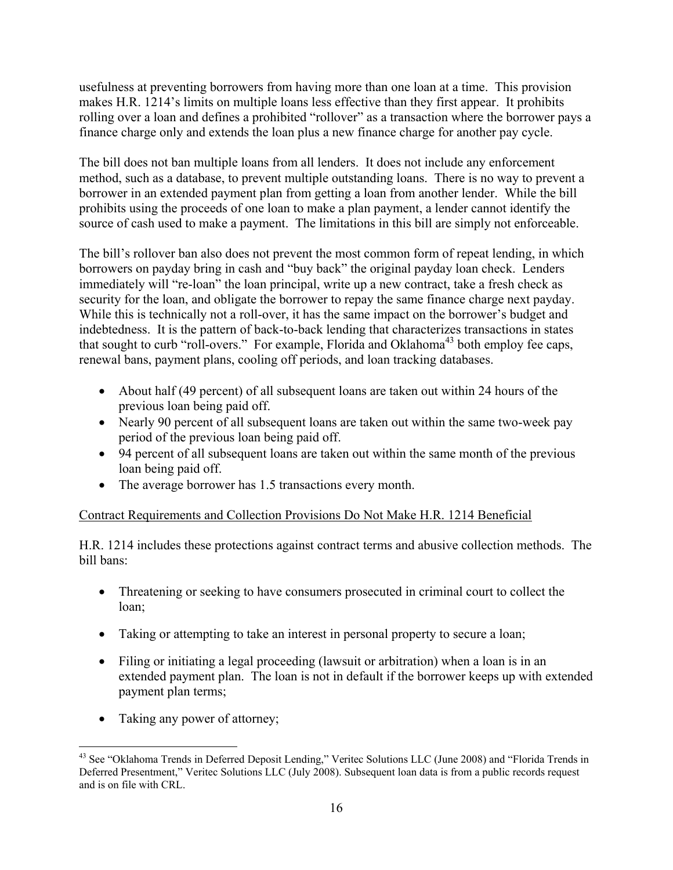usefulness at preventing borrowers from having more than one loan at a time. This provision makes H.R. 1214's limits on multiple loans less effective than they first appear. It prohibits rolling over a loan and defines a prohibited "rollover" as a transaction where the borrower pays a finance charge only and extends the loan plus a new finance charge for another pay cycle.

The bill does not ban multiple loans from all lenders. It does not include any enforcement method, such as a database, to prevent multiple outstanding loans. There is no way to prevent a borrower in an extended payment plan from getting a loan from another lender. While the bill prohibits using the proceeds of one loan to make a plan payment, a lender cannot identify the source of cash used to make a payment. The limitations in this bill are simply not enforceable.

The bill's rollover ban also does not prevent the most common form of repeat lending, in which borrowers on payday bring in cash and "buy back" the original payday loan check. Lenders immediately will "re-loan" the loan principal, write up a new contract, take a fresh check as security for the loan, and obligate the borrower to repay the same finance charge next payday. While this is technically not a roll-over, it has the same impact on the borrower's budget and indebtedness. It is the pattern of back-to-back lending that characterizes transactions in states that sought to curb "roll-overs." For example, Florida and Oklahoma<sup>43</sup> both employ fee caps, renewal bans, payment plans, cooling off periods, and loan tracking databases.

- About half (49 percent) of all subsequent loans are taken out within 24 hours of the previous loan being paid off.
- Nearly 90 percent of all subsequent loans are taken out within the same two-week pay period of the previous loan being paid off.
- 94 percent of all subsequent loans are taken out within the same month of the previous loan being paid off.
- The average borrower has 1.5 transactions every month.

# Contract Requirements and Collection Provisions Do Not Make H.R. 1214 Beneficial

H.R. 1214 includes these protections against contract terms and abusive collection methods. The bill bans:

- Threatening or seeking to have consumers prosecuted in criminal court to collect the loan;
- Taking or attempting to take an interest in personal property to secure a loan;
- Filing or initiating a legal proceeding (lawsuit or arbitration) when a loan is in an extended payment plan. The loan is not in default if the borrower keeps up with extended payment plan terms;
- Taking any power of attorney;

 $\overline{a}$ <sup>43</sup> See "Oklahoma Trends in Deferred Deposit Lending," Veritec Solutions LLC (June 2008) and "Florida Trends in Deferred Presentment," Veritec Solutions LLC (July 2008). Subsequent loan data is from a public records request and is on file with CRL.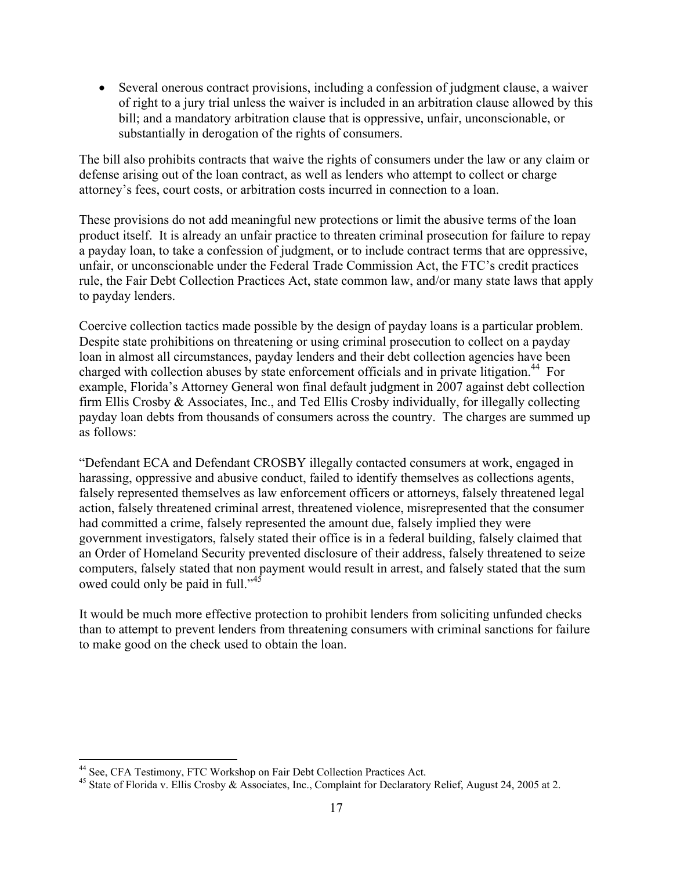• Several onerous contract provisions, including a confession of judgment clause, a waiver of right to a jury trial unless the waiver is included in an arbitration clause allowed by this bill; and a mandatory arbitration clause that is oppressive, unfair, unconscionable, or substantially in derogation of the rights of consumers.

The bill also prohibits contracts that waive the rights of consumers under the law or any claim or defense arising out of the loan contract, as well as lenders who attempt to collect or charge attorney's fees, court costs, or arbitration costs incurred in connection to a loan.

These provisions do not add meaningful new protections or limit the abusive terms of the loan product itself. It is already an unfair practice to threaten criminal prosecution for failure to repay a payday loan, to take a confession of judgment, or to include contract terms that are oppressive, unfair, or unconscionable under the Federal Trade Commission Act, the FTC's credit practices rule, the Fair Debt Collection Practices Act, state common law, and/or many state laws that apply to payday lenders.

Coercive collection tactics made possible by the design of payday loans is a particular problem. Despite state prohibitions on threatening or using criminal prosecution to collect on a payday loan in almost all circumstances, payday lenders and their debt collection agencies have been charged with collection abuses by state enforcement officials and in private litigation.<sup>44</sup> For example, Florida's Attorney General won final default judgment in 2007 against debt collection firm Ellis Crosby & Associates, Inc., and Ted Ellis Crosby individually, for illegally collecting payday loan debts from thousands of consumers across the country. The charges are summed up as follows:

"Defendant ECA and Defendant CROSBY illegally contacted consumers at work, engaged in harassing, oppressive and abusive conduct, failed to identify themselves as collections agents, falsely represented themselves as law enforcement officers or attorneys, falsely threatened legal action, falsely threatened criminal arrest, threatened violence, misrepresented that the consumer had committed a crime, falsely represented the amount due, falsely implied they were government investigators, falsely stated their office is in a federal building, falsely claimed that an Order of Homeland Security prevented disclosure of their address, falsely threatened to seize computers, falsely stated that non payment would result in arrest, and falsely stated that the sum owed could only be paid in full."<sup>45</sup>

It would be much more effective protection to prohibit lenders from soliciting unfunded checks than to attempt to prevent lenders from threatening consumers with criminal sanctions for failure to make good on the check used to obtain the loan.

<sup>&</sup>lt;sup>44</sup> See, CFA Testimony, FTC Workshop on Fair Debt Collection Practices Act.

<sup>&</sup>lt;sup>45</sup> State of Florida v. Ellis Crosby & Associates, Inc., Complaint for Declaratory Relief, August 24, 2005 at 2.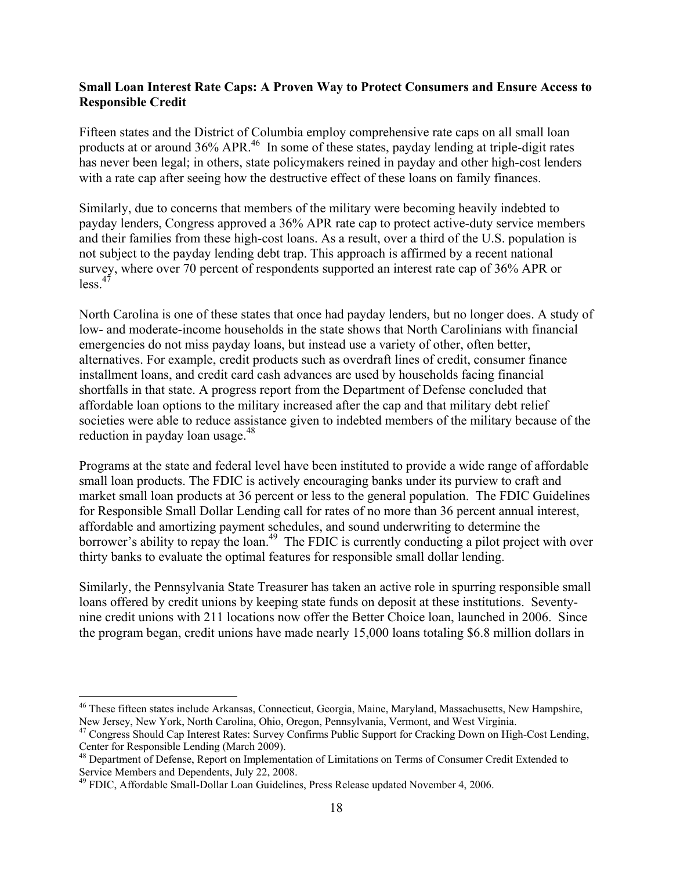#### **Small Loan Interest Rate Caps: A Proven Way to Protect Consumers and Ensure Access to Responsible Credit**

Fifteen states and the District of Columbia employ comprehensive rate caps on all small loan products at or around 36% APR.<sup>46</sup> In some of these states, payday lending at triple-digit rates has never been legal; in others, state policymakers reined in payday and other high-cost lenders with a rate cap after seeing how the destructive effect of these loans on family finances.

Similarly, due to concerns that members of the military were becoming heavily indebted to payday lenders, Congress approved a 36% APR rate cap to protect active-duty service members and their families from these high-cost loans. As a result, over a third of the U.S. population is not subject to the payday lending debt trap. This approach is affirmed by a recent national survey, where over 70 percent of respondents supported an interest rate cap of 36% APR or  $less<sup>47</sup>$ 

North Carolina is one of these states that once had payday lenders, but no longer does. A study of low- and moderate-income households in the state shows that North Carolinians with financial emergencies do not miss payday loans, but instead use a variety of other, often better, alternatives. For example, credit products such as overdraft lines of credit, consumer finance installment loans, and credit card cash advances are used by households facing financial shortfalls in that state. A progress report from the Department of Defense concluded that affordable loan options to the military increased after the cap and that military debt relief societies were able to reduce assistance given to indebted members of the military because of the reduction in payday loan usage.<sup>48</sup>

Programs at the state and federal level have been instituted to provide a wide range of affordable small loan products. The FDIC is actively encouraging banks under its purview to craft and market small loan products at 36 percent or less to the general population. The FDIC Guidelines for Responsible Small Dollar Lending call for rates of no more than 36 percent annual interest, affordable and amortizing payment schedules, and sound underwriting to determine the borrower's ability to repay the loan.<sup>49</sup> The FDIC is currently conducting a pilot project with over thirty banks to evaluate the optimal features for responsible small dollar lending.

Similarly, the Pennsylvania State Treasurer has taken an active role in spurring responsible small loans offered by credit unions by keeping state funds on deposit at these institutions. Seventynine credit unions with 211 locations now offer the Better Choice loan, launched in 2006. Since the program began, credit unions have made nearly 15,000 loans totaling \$6.8 million dollars in

<sup>&</sup>lt;sup>46</sup> These fifteen states include Arkansas, Connecticut, Georgia, Maine, Maryland, Massachusetts, New Hampshire, New Jersey, New York, North Carolina, Ohio, Oregon, Pennsylvania, Vermont, and West Virginia.

<sup>&</sup>lt;sup>47</sup> Congress Should Cap Interest Rates: Survey Confirms Public Support for Cracking Down on High-Cost Lending, Center for Responsible Lending (March 2009).

<sup>&</sup>lt;sup>48</sup> Department of Defense, Report on Implementation of Limitations on Terms of Consumer Credit Extended to Service Members and Dependents, July 22, 2008.

<sup>49</sup> FDIC, Affordable Small-Dollar Loan Guidelines, Press Release updated November 4, 2006.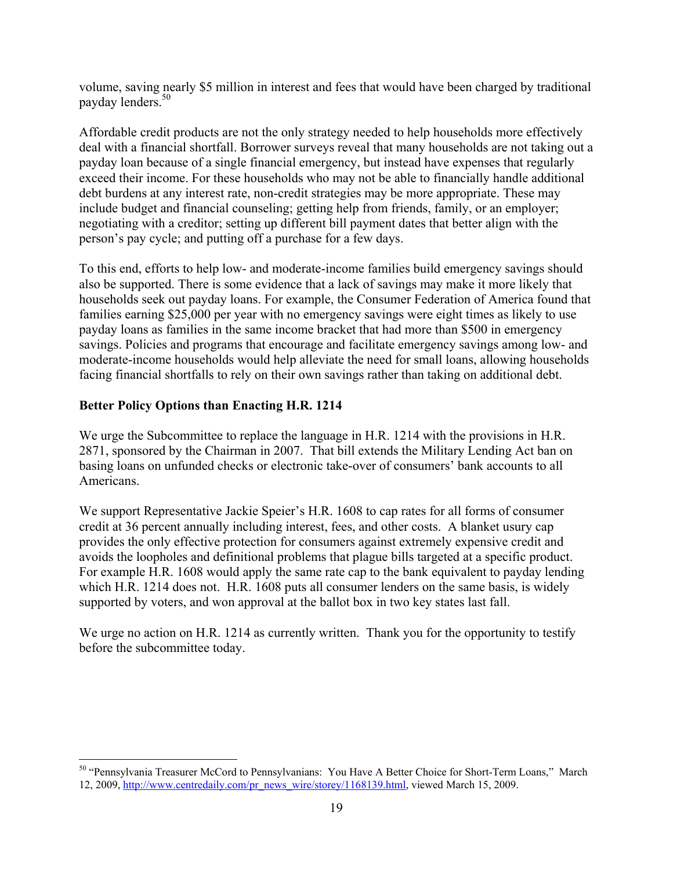volume, saving nearly \$5 million in interest and fees that would have been charged by traditional payday lenders.<sup>50</sup>

Affordable credit products are not the only strategy needed to help households more effectively deal with a financial shortfall. Borrower surveys reveal that many households are not taking out a payday loan because of a single financial emergency, but instead have expenses that regularly exceed their income. For these households who may not be able to financially handle additional debt burdens at any interest rate, non-credit strategies may be more appropriate. These may include budget and financial counseling; getting help from friends, family, or an employer; negotiating with a creditor; setting up different bill payment dates that better align with the person's pay cycle; and putting off a purchase for a few days.

To this end, efforts to help low- and moderate-income families build emergency savings should also be supported. There is some evidence that a lack of savings may make it more likely that households seek out payday loans. For example, the Consumer Federation of America found that families earning \$25,000 per year with no emergency savings were eight times as likely to use payday loans as families in the same income bracket that had more than \$500 in emergency savings. Policies and programs that encourage and facilitate emergency savings among low- and moderate-income households would help alleviate the need for small loans, allowing households facing financial shortfalls to rely on their own savings rather than taking on additional debt.

# **Better Policy Options than Enacting H.R. 1214**

 $\overline{a}$ 

We urge the Subcommittee to replace the language in H.R. 1214 with the provisions in H.R. 2871, sponsored by the Chairman in 2007. That bill extends the Military Lending Act ban on basing loans on unfunded checks or electronic take-over of consumers' bank accounts to all Americans.

We support Representative Jackie Speier's H.R. 1608 to cap rates for all forms of consumer credit at 36 percent annually including interest, fees, and other costs. A blanket usury cap provides the only effective protection for consumers against extremely expensive credit and avoids the loopholes and definitional problems that plague bills targeted at a specific product. For example H.R. 1608 would apply the same rate cap to the bank equivalent to payday lending which H.R. 1214 does not. H.R. 1608 puts all consumer lenders on the same basis, is widely supported by voters, and won approval at the ballot box in two key states last fall.

We urge no action on H.R. 1214 as currently written. Thank you for the opportunity to testify before the subcommittee today.

<sup>&</sup>lt;sup>50</sup> "Pennsylvania Treasurer McCord to Pennsylvanians: You Have A Better Choice for Short-Term Loans," March 12, 2009, http://www.centredaily.com/pr\_news\_wire/storey/1168139.html, viewed March 15, 2009.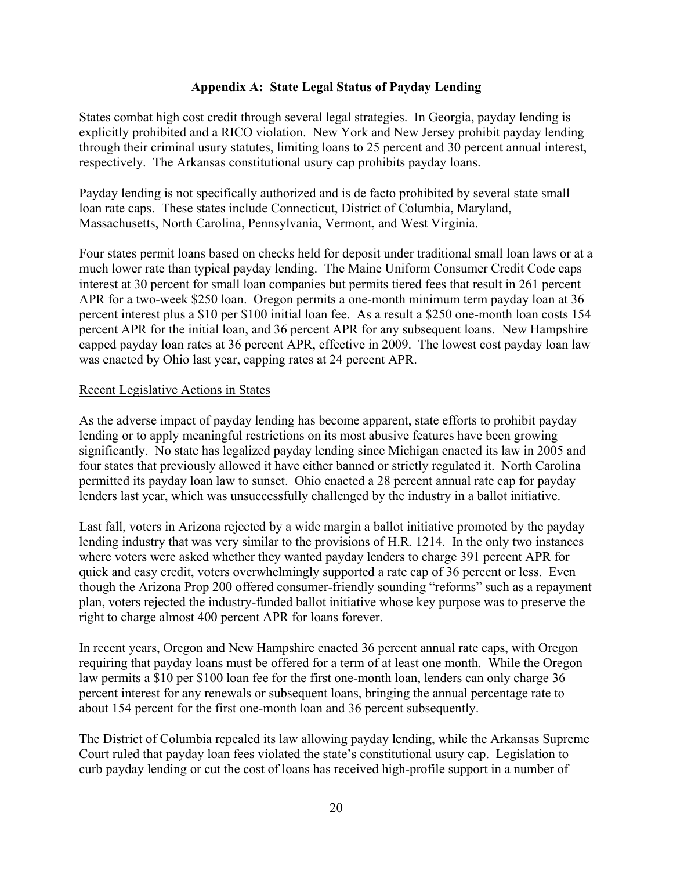## **Appendix A: State Legal Status of Payday Lending**

States combat high cost credit through several legal strategies. In Georgia, payday lending is explicitly prohibited and a RICO violation. New York and New Jersey prohibit payday lending through their criminal usury statutes, limiting loans to 25 percent and 30 percent annual interest, respectively. The Arkansas constitutional usury cap prohibits payday loans.

Payday lending is not specifically authorized and is de facto prohibited by several state small loan rate caps. These states include Connecticut, District of Columbia, Maryland, Massachusetts, North Carolina, Pennsylvania, Vermont, and West Virginia.

Four states permit loans based on checks held for deposit under traditional small loan laws or at a much lower rate than typical payday lending. The Maine Uniform Consumer Credit Code caps interest at 30 percent for small loan companies but permits tiered fees that result in 261 percent APR for a two-week \$250 loan. Oregon permits a one-month minimum term payday loan at 36 percent interest plus a \$10 per \$100 initial loan fee. As a result a \$250 one-month loan costs 154 percent APR for the initial loan, and 36 percent APR for any subsequent loans. New Hampshire capped payday loan rates at 36 percent APR, effective in 2009. The lowest cost payday loan law was enacted by Ohio last year, capping rates at 24 percent APR.

#### Recent Legislative Actions in States

As the adverse impact of payday lending has become apparent, state efforts to prohibit payday lending or to apply meaningful restrictions on its most abusive features have been growing significantly. No state has legalized payday lending since Michigan enacted its law in 2005 and four states that previously allowed it have either banned or strictly regulated it. North Carolina permitted its payday loan law to sunset. Ohio enacted a 28 percent annual rate cap for payday lenders last year, which was unsuccessfully challenged by the industry in a ballot initiative.

Last fall, voters in Arizona rejected by a wide margin a ballot initiative promoted by the payday lending industry that was very similar to the provisions of H.R. 1214. In the only two instances where voters were asked whether they wanted payday lenders to charge 391 percent APR for quick and easy credit, voters overwhelmingly supported a rate cap of 36 percent or less. Even though the Arizona Prop 200 offered consumer-friendly sounding "reforms" such as a repayment plan, voters rejected the industry-funded ballot initiative whose key purpose was to preserve the right to charge almost 400 percent APR for loans forever.

In recent years, Oregon and New Hampshire enacted 36 percent annual rate caps, with Oregon requiring that payday loans must be offered for a term of at least one month. While the Oregon law permits a \$10 per \$100 loan fee for the first one-month loan, lenders can only charge 36 percent interest for any renewals or subsequent loans, bringing the annual percentage rate to about 154 percent for the first one-month loan and 36 percent subsequently.

The District of Columbia repealed its law allowing payday lending, while the Arkansas Supreme Court ruled that payday loan fees violated the state's constitutional usury cap. Legislation to curb payday lending or cut the cost of loans has received high-profile support in a number of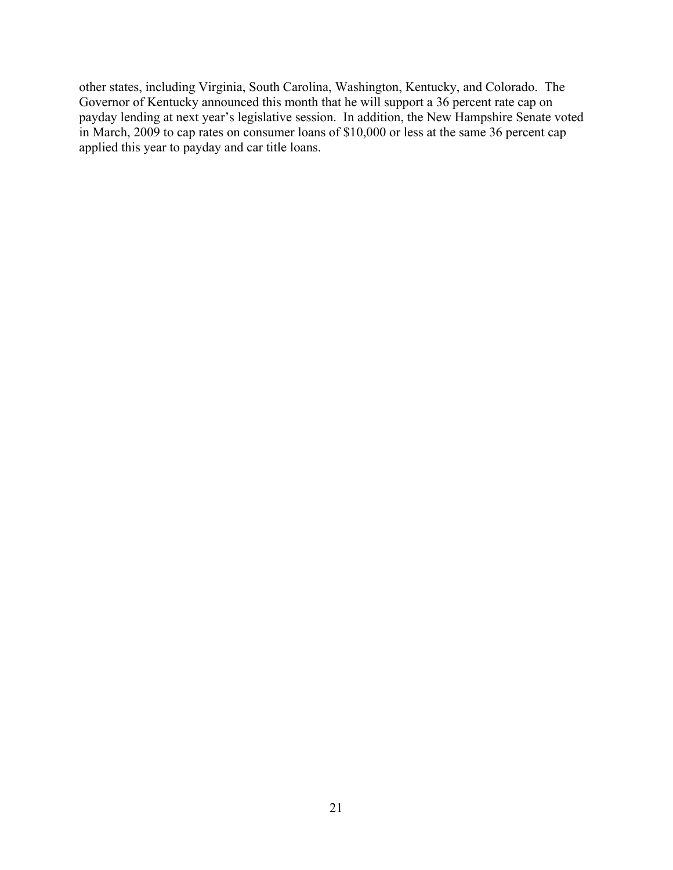other states, including Virginia, South Carolina, Washington, Kentucky, and Colorado. The Governor of Kentucky announced this month that he will support a 36 percent rate cap on payday lending at next year's legislative session. In addition, the New Hampshire Senate voted in March, 2009 to cap rates on consumer loans of \$10,000 or less at the same 36 percent cap applied this year to payday and car title loans.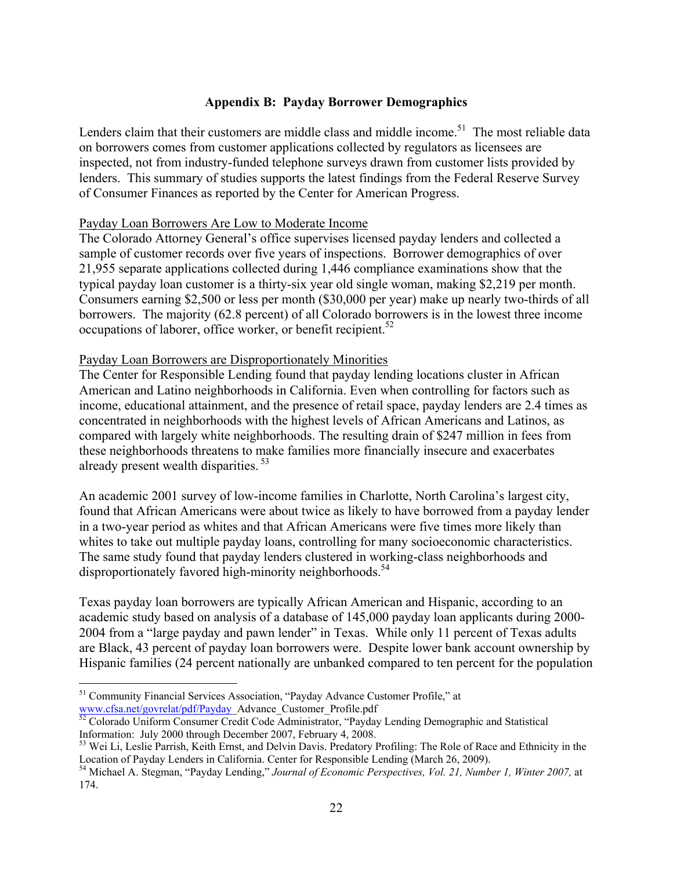# **Appendix B: Payday Borrower Demographics**

Lenders claim that their customers are middle class and middle income.<sup>51</sup> The most reliable data on borrowers comes from customer applications collected by regulators as licensees are inspected, not from industry-funded telephone surveys drawn from customer lists provided by lenders. This summary of studies supports the latest findings from the Federal Reserve Survey of Consumer Finances as reported by the Center for American Progress.

#### Payday Loan Borrowers Are Low to Moderate Income

The Colorado Attorney General's office supervises licensed payday lenders and collected a sample of customer records over five years of inspections. Borrower demographics of over 21,955 separate applications collected during 1,446 compliance examinations show that the typical payday loan customer is a thirty-six year old single woman, making \$2,219 per month. Consumers earning \$2,500 or less per month (\$30,000 per year) make up nearly two-thirds of all borrowers. The majority (62.8 percent) of all Colorado borrowers is in the lowest three income occupations of laborer, office worker, or benefit recipient.<sup>52</sup>

#### Payday Loan Borrowers are Disproportionately Minorities

The Center for Responsible Lending found that payday lending locations cluster in African American and Latino neighborhoods in California. Even when controlling for factors such as income, educational attainment, and the presence of retail space, payday lenders are 2.4 times as concentrated in neighborhoods with the highest levels of African Americans and Latinos, as compared with largely white neighborhoods. The resulting drain of \$247 million in fees from these neighborhoods threatens to make families more financially insecure and exacerbates already present wealth disparities.<sup>53</sup>

An academic 2001 survey of low-income families in Charlotte, North Carolina's largest city, found that African Americans were about twice as likely to have borrowed from a payday lender in a two-year period as whites and that African Americans were five times more likely than whites to take out multiple payday loans, controlling for many socioeconomic characteristics. The same study found that payday lenders clustered in working-class neighborhoods and disproportionately favored high-minority neighborhoods.<sup>54</sup>

Texas payday loan borrowers are typically African American and Hispanic, according to an academic study based on analysis of a database of 145,000 payday loan applicants during 2000- 2004 from a "large payday and pawn lender" in Texas. While only 11 percent of Texas adults are Black, 43 percent of payday loan borrowers were. Despite lower bank account ownership by Hispanic families (24 percent nationally are unbanked compared to ten percent for the population

<sup>&</sup>lt;sup>51</sup> Community Financial Services Association, "Payday Advance Customer Profile," at

www.cfsa.net/govrelat/pdf/Payday\_Advance\_Customer\_Profile.pdf<br>
<sup>52</sup> Colorado Uniform Consumer Credit Code Administrator, "Payday Lending Demographic and Statistical<br>
Information: July 2000 through December 2007, February 4

<sup>&</sup>lt;sup>53</sup> Wei Li, Leslie Parrish, Keith Ernst, and Delvin Davis. Predatory Profiling: The Role of Race and Ethnicity in the Location of Payday Lenders in California. Center for Responsible Lending (March 26, 2009).

<sup>54</sup> Michael A. Stegman, "Payday Lending," *Journal of Economic Perspectives, Vol. 21, Number 1, Winter 2007,* at 174.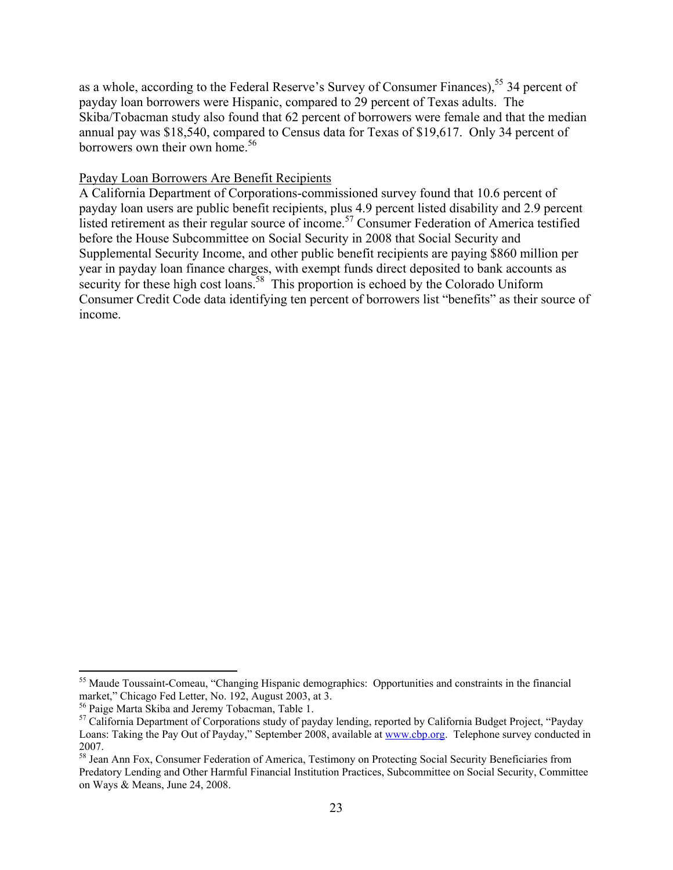as a whole, according to the Federal Reserve's Survey of Consumer Finances),<sup>55</sup> 34 percent of payday loan borrowers were Hispanic, compared to 29 percent of Texas adults. The Skiba/Tobacman study also found that 62 percent of borrowers were female and that the median annual pay was \$18,540, compared to Census data for Texas of \$19,617. Only 34 percent of borrowers own their own home.<sup>56</sup>

#### Payday Loan Borrowers Are Benefit Recipients

A California Department of Corporations-commissioned survey found that 10.6 percent of payday loan users are public benefit recipients, plus 4.9 percent listed disability and 2.9 percent listed retirement as their regular source of income.<sup>57</sup> Consumer Federation of America testified before the House Subcommittee on Social Security in 2008 that Social Security and Supplemental Security Income, and other public benefit recipients are paying \$860 million per year in payday loan finance charges, with exempt funds direct deposited to bank accounts as security for these high cost loans.<sup>58</sup> This proportion is echoed by the Colorado Uniform Consumer Credit Code data identifying ten percent of borrowers list "benefits" as their source of income.

<sup>&</sup>lt;sup>55</sup> Maude Toussaint-Comeau, "Changing Hispanic demographics: Opportunities and constraints in the financial market," Chicago Fed Letter, No. 192, August 2003, at 3.

<sup>56</sup> Paige Marta Skiba and Jeremy Tobacman, Table 1.

<sup>&</sup>lt;sup>57</sup> California Department of Corporations study of payday lending, reported by California Budget Project, "Payday Loans: Taking the Pay Out of Payday," September 2008, available at www.cbp.org. Telephone survey conducted in 2007.

<sup>58</sup> Jean Ann Fox, Consumer Federation of America, Testimony on Protecting Social Security Beneficiaries from Predatory Lending and Other Harmful Financial Institution Practices, Subcommittee on Social Security, Committee on Ways & Means, June 24, 2008.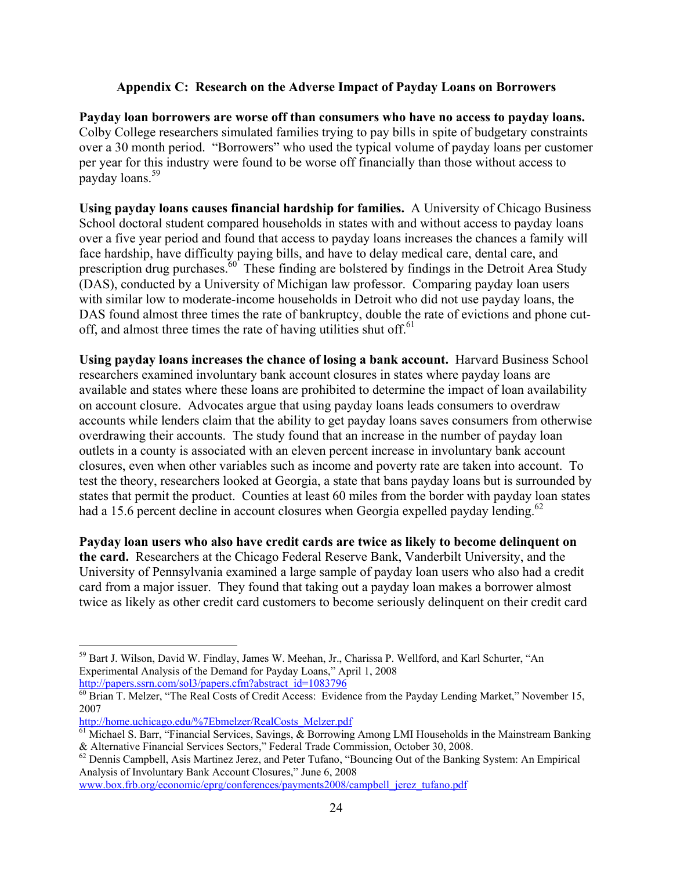## **Appendix C: Research on the Adverse Impact of Payday Loans on Borrowers**

**Payday loan borrowers are worse off than consumers who have no access to payday loans.** Colby College researchers simulated families trying to pay bills in spite of budgetary constraints over a 30 month period. "Borrowers" who used the typical volume of payday loans per customer per year for this industry were found to be worse off financially than those without access to payday loans.59

**Using payday loans causes financial hardship for families.** A University of Chicago Business School doctoral student compared households in states with and without access to payday loans over a five year period and found that access to payday loans increases the chances a family will face hardship, have difficulty paying bills, and have to delay medical care, dental care, and prescription drug purchases.<sup>60</sup> These finding are bolstered by findings in the Detroit Area Study (DAS), conducted by a University of Michigan law professor. Comparing payday loan users with similar low to moderate-income households in Detroit who did not use payday loans, the DAS found almost three times the rate of bankruptcy, double the rate of evictions and phone cutoff, and almost three times the rate of having utilities shut off.<sup>61</sup>

**Using payday loans increases the chance of losing a bank account.** Harvard Business School researchers examined involuntary bank account closures in states where payday loans are available and states where these loans are prohibited to determine the impact of loan availability on account closure. Advocates argue that using payday loans leads consumers to overdraw accounts while lenders claim that the ability to get payday loans saves consumers from otherwise overdrawing their accounts. The study found that an increase in the number of payday loan outlets in a county is associated with an eleven percent increase in involuntary bank account closures, even when other variables such as income and poverty rate are taken into account. To test the theory, researchers looked at Georgia, a state that bans payday loans but is surrounded by states that permit the product. Counties at least 60 miles from the border with payday loan states had a 15.6 percent decline in account closures when Georgia expelled payday lending.<sup>62</sup>

**Payday loan users who also have credit cards are twice as likely to become delinquent on the card.** Researchers at the Chicago Federal Reserve Bank, Vanderbilt University, and the University of Pennsylvania examined a large sample of payday loan users who also had a credit card from a major issuer. They found that taking out a payday loan makes a borrower almost twice as likely as other credit card customers to become seriously delinquent on their credit card

<sup>59</sup> Bart J. Wilson, David W. Findlay, James W. Meehan, Jr., Charissa P. Wellford, and Karl Schurter, "An Experimental Analysis of the Demand for Payday Loans," April 1, 2008 http://papers.ssrn.com/sol3/papers.cfm?abstract\_id=1083796

<sup>&</sup>lt;sup>60</sup> Brian T. Melzer, "The Real Costs of Credit Access: Evidence from the Payday Lending Market," November 15, 2007<br>http://home.uchicago.edu/%7Ebmelzer/RealCosts\_Melzer.pdf

 $\frac{61}{61}$  Michael S. Barr, "Financial Services, Savings, & Borrowing Among LMI Households in the Mainstream Banking & Alternative Financial Services Sectors," Federal Trade Commission, October 30, 2008.

<sup>&</sup>lt;sup>62</sup> Dennis Campbell, Asis Martinez Jerez, and Peter Tufano, "Bouncing Out of the Banking System: An Empirical Analysis of Involuntary Bank Account Closures," June 6, 2008

www.box.frb.org/economic/eprg/conferences/payments2008/campbell\_jerez\_tufano.pdf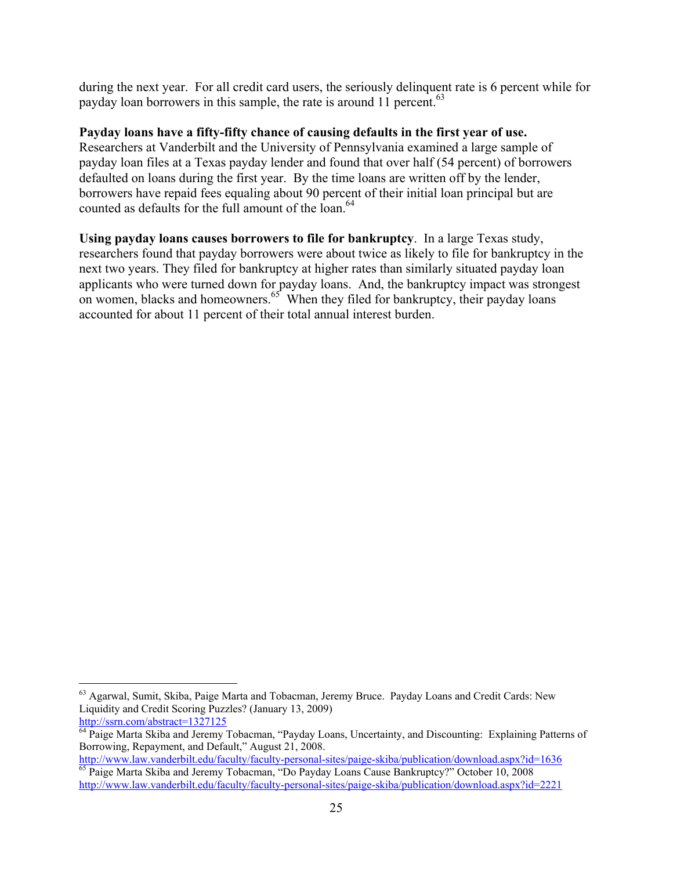during the next year. For all credit card users, the seriously delinquent rate is 6 percent while for payday loan borrowers in this sample, the rate is around 11 percent.<sup>63</sup>

## **Payday loans have a fifty-fifty chance of causing defaults in the first year of use.**

Researchers at Vanderbilt and the University of Pennsylvania examined a large sample of payday loan files at a Texas payday lender and found that over half (54 percent) of borrowers defaulted on loans during the first year. By the time loans are written off by the lender, borrowers have repaid fees equaling about 90 percent of their initial loan principal but are counted as defaults for the full amount of the loan.<sup>64</sup>

**Using payday loans causes borrowers to file for bankruptcy**. In a large Texas study, researchers found that payday borrowers were about twice as likely to file for bankruptcy in the next two years. They filed for bankruptcy at higher rates than similarly situated payday loan applicants who were turned down for payday loans. And, the bankruptcy impact was strongest on women, blacks and homeowners.<sup>65</sup> When they filed for bankruptcy, their payday loans accounted for about 11 percent of their total annual interest burden.

<sup>63</sup> Agarwal, Sumit, Skiba, Paige Marta and Tobacman, Jeremy Bruce. Payday Loans and Credit Cards: New Liquidity and Credit Scoring Puzzles? (January 13, 2009) http://ssrn.com/abstract=1327125

<sup>&</sup>lt;sup>64</sup> Paige Marta Skiba and Jeremy Tobacman, "Payday Loans, Uncertainty, and Discounting: Explaining Patterns of Borrowing, Repayment, and Default," August 21, 2008.<br>http://www.law.vanderbilt.edu/faculty/faculty-personal-sites/paige-skiba/publication/download.aspx?id=1636

<sup>&</sup>lt;sup>65</sup> Paige-Marta Skiba and Jeremy Tobacman, "Do Payday Loans Cause Bankruptcy?" October 10, 2008 http://www.law.vanderbilt.edu/faculty/faculty-personal-sites/paige-skiba/publication/download.aspx?id=2221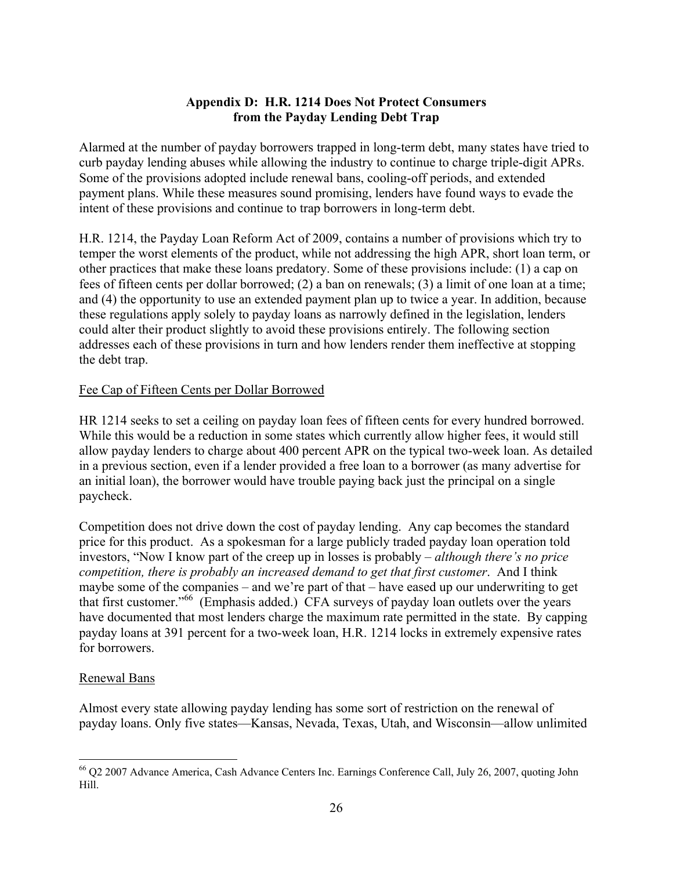# **Appendix D: H.R. 1214 Does Not Protect Consumers from the Payday Lending Debt Trap**

Alarmed at the number of payday borrowers trapped in long-term debt, many states have tried to curb payday lending abuses while allowing the industry to continue to charge triple-digit APRs. Some of the provisions adopted include renewal bans, cooling-off periods, and extended payment plans. While these measures sound promising, lenders have found ways to evade the intent of these provisions and continue to trap borrowers in long-term debt.

H.R. 1214, the Payday Loan Reform Act of 2009, contains a number of provisions which try to temper the worst elements of the product, while not addressing the high APR, short loan term, or other practices that make these loans predatory. Some of these provisions include: (1) a cap on fees of fifteen cents per dollar borrowed; (2) a ban on renewals; (3) a limit of one loan at a time; and (4) the opportunity to use an extended payment plan up to twice a year. In addition, because these regulations apply solely to payday loans as narrowly defined in the legislation, lenders could alter their product slightly to avoid these provisions entirely. The following section addresses each of these provisions in turn and how lenders render them ineffective at stopping the debt trap.

#### Fee Cap of Fifteen Cents per Dollar Borrowed

HR 1214 seeks to set a ceiling on payday loan fees of fifteen cents for every hundred borrowed. While this would be a reduction in some states which currently allow higher fees, it would still allow payday lenders to charge about 400 percent APR on the typical two-week loan. As detailed in a previous section, even if a lender provided a free loan to a borrower (as many advertise for an initial loan), the borrower would have trouble paying back just the principal on a single paycheck.

Competition does not drive down the cost of payday lending. Any cap becomes the standard price for this product. As a spokesman for a large publicly traded payday loan operation told investors, "Now I know part of the creep up in losses is probably – *although there's no price competition, there is probably an increased demand to get that first customer*. And I think maybe some of the companies – and we're part of that – have eased up our underwriting to get that first customer."66 (Emphasis added.) CFA surveys of payday loan outlets over the years have documented that most lenders charge the maximum rate permitted in the state. By capping payday loans at 391 percent for a two-week loan, H.R. 1214 locks in extremely expensive rates for borrowers.

# Renewal Bans

 $\overline{a}$ 

Almost every state allowing payday lending has some sort of restriction on the renewal of payday loans. Only five states—Kansas, Nevada, Texas, Utah, and Wisconsin—allow unlimited

<sup>66</sup> Q2 2007 Advance America, Cash Advance Centers Inc. Earnings Conference Call, July 26, 2007, quoting John Hill.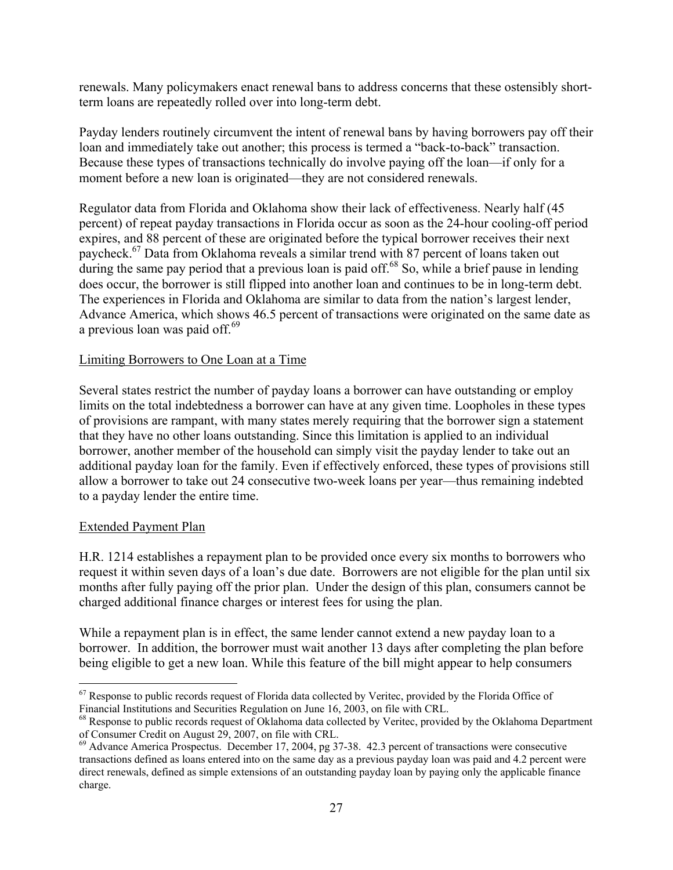renewals. Many policymakers enact renewal bans to address concerns that these ostensibly shortterm loans are repeatedly rolled over into long-term debt.

Payday lenders routinely circumvent the intent of renewal bans by having borrowers pay off their loan and immediately take out another; this process is termed a "back-to-back" transaction. Because these types of transactions technically do involve paying off the loan—if only for a moment before a new loan is originated—they are not considered renewals.

Regulator data from Florida and Oklahoma show their lack of effectiveness. Nearly half (45 percent) of repeat payday transactions in Florida occur as soon as the 24-hour cooling-off period expires, and 88 percent of these are originated before the typical borrower receives their next paycheck.67 Data from Oklahoma reveals a similar trend with 87 percent of loans taken out during the same pay period that a previous loan is paid off.<sup>68</sup> So, while a brief pause in lending does occur, the borrower is still flipped into another loan and continues to be in long-term debt. The experiences in Florida and Oklahoma are similar to data from the nation's largest lender, Advance America, which shows 46.5 percent of transactions were originated on the same date as a previous loan was paid off. $69$ 

## Limiting Borrowers to One Loan at a Time

Several states restrict the number of payday loans a borrower can have outstanding or employ limits on the total indebtedness a borrower can have at any given time. Loopholes in these types of provisions are rampant, with many states merely requiring that the borrower sign a statement that they have no other loans outstanding. Since this limitation is applied to an individual borrower, another member of the household can simply visit the payday lender to take out an additional payday loan for the family. Even if effectively enforced, these types of provisions still allow a borrower to take out 24 consecutive two-week loans per year—thus remaining indebted to a payday lender the entire time.

#### Extended Payment Plan

 $\overline{a}$ 

H.R. 1214 establishes a repayment plan to be provided once every six months to borrowers who request it within seven days of a loan's due date. Borrowers are not eligible for the plan until six months after fully paying off the prior plan. Under the design of this plan, consumers cannot be charged additional finance charges or interest fees for using the plan.

While a repayment plan is in effect, the same lender cannot extend a new payday loan to a borrower. In addition, the borrower must wait another 13 days after completing the plan before being eligible to get a new loan. While this feature of the bill might appear to help consumers

 $67$  Response to public records request of Florida data collected by Veritec, provided by the Florida Office of Financial Institutions and Securities Regulation on June 16, 2003, on file with CRL.

<sup>&</sup>lt;sup>68</sup> Response to public records request of Oklahoma data collected by Veritec, provided by the Oklahoma Department of Consumer Credit on August 29, 2007, on file with CRL.

 $^{69}$  Advance America Prospectus. December 17, 2004, pg 37-38. 42.3 percent of transactions were consecutive transactions defined as loans entered into on the same day as a previous payday loan was paid and 4.2 percent were direct renewals, defined as simple extensions of an outstanding payday loan by paying only the applicable finance charge.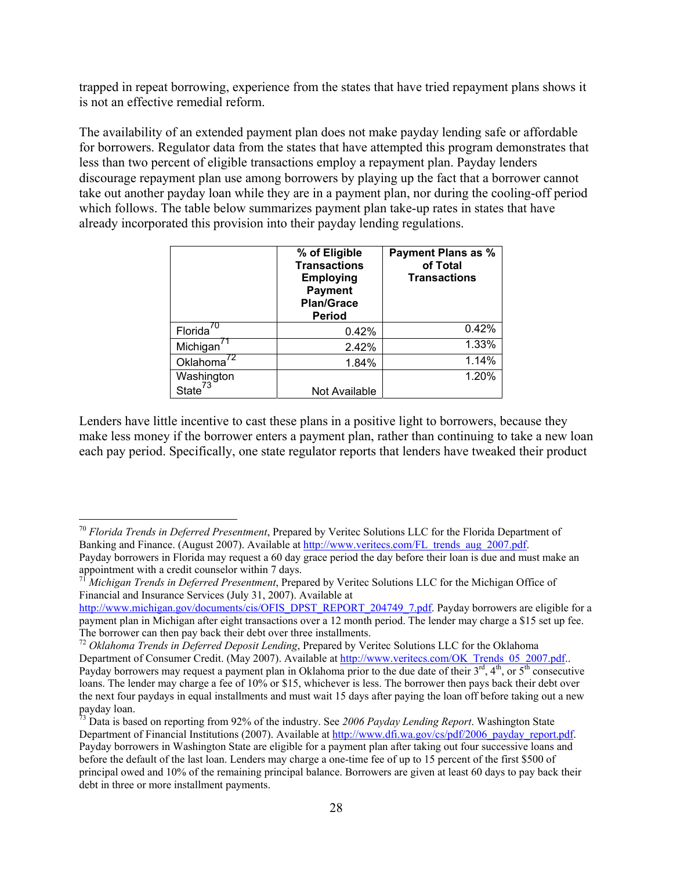trapped in repeat borrowing, experience from the states that have tried repayment plans shows it is not an effective remedial reform.

The availability of an extended payment plan does not make payday lending safe or affordable for borrowers. Regulator data from the states that have attempted this program demonstrates that less than two percent of eligible transactions employ a repayment plan. Payday lenders discourage repayment plan use among borrowers by playing up the fact that a borrower cannot take out another payday loan while they are in a payment plan, nor during the cooling-off period which follows. The table below summarizes payment plan take-up rates in states that have already incorporated this provision into their payday lending regulations.

|                       | % of Eligible<br><b>Transactions</b><br><b>Employing</b><br><b>Payment</b><br><b>Plan/Grace</b><br><b>Period</b> | <b>Payment Plans as %</b><br>of Total<br><b>Transactions</b> |
|-----------------------|------------------------------------------------------------------------------------------------------------------|--------------------------------------------------------------|
| Florida <sup>70</sup> | 0.42%                                                                                                            | 0.42%                                                        |
| Michigan              | 2.42%                                                                                                            | 1.33%                                                        |
| Oklahoma $72$         | 1.84%                                                                                                            | 1.14%                                                        |
| Washington            |                                                                                                                  | 1.20%                                                        |
| State $^{73}$         | Not Available                                                                                                    |                                                              |

Lenders have little incentive to cast these plans in a positive light to borrowers, because they make less money if the borrower enters a payment plan, rather than continuing to take a new loan each pay period. Specifically, one state regulator reports that lenders have tweaked their product

<sup>70</sup> *Florida Trends in Deferred Presentment*, Prepared by Veritec Solutions LLC for the Florida Department of Banking and Finance. (August 2007). Available at http://www.veritecs.com/FL\_trends\_aug\_2007.pdf. Payday borrowers in Florida may request a 60 day grace period the day before their loan is due and must make an appointment with a credit counselor within 7 days.

<sup>&</sup>lt;sup>71</sup> *Michigan Trends in Deferred Presentment*, Prepared by Veritec Solutions LLC for the Michigan Office of Financial and Insurance Services (July 31, 2007). Available at

http://www.michigan.gov/documents/cis/OFIS\_DPST\_REPORT\_204749\_7.pdf. Payday borrowers are eligible for a payment plan in Michigan after eight transactions over a 12 month period. The lender may charge a \$15 set up fee. The borrower can then pay back their debt over three installments. 72 *Oklahoma Trends in Deferred Deposit Lending*, Prepared by Veritec Solutions LLC for the Oklahoma

Department of Consumer Credit. (May 2007). Available at http://www.veritecs.com/OK\_Trends\_05\_2007.pdf.. Payday borrowers may request a payment plan in Oklahoma prior to the due date of their  $3^{rd}$ ,  $4^{th}$ , or  $5^{th}$  consecutive loans. The lender may charge a fee of 10% or \$15, whichever is less. The borrower then pays back their debt over the next four paydays in equal installments and must wait 15 days after paying the loan off before taking out a new payday loan.

<sup>73</sup> Data is based on reporting from 92% of the industry. See *2006 Payday Lending Report*. Washington State Department of Financial Institutions (2007). Available at http://www.dfi.wa.gov/cs/pdf/2006\_payday\_report.pdf. Payday borrowers in Washington State are eligible for a payment plan after taking out four successive loans and before the default of the last loan. Lenders may charge a one-time fee of up to 15 percent of the first \$500 of principal owed and 10% of the remaining principal balance. Borrowers are given at least 60 days to pay back their debt in three or more installment payments.